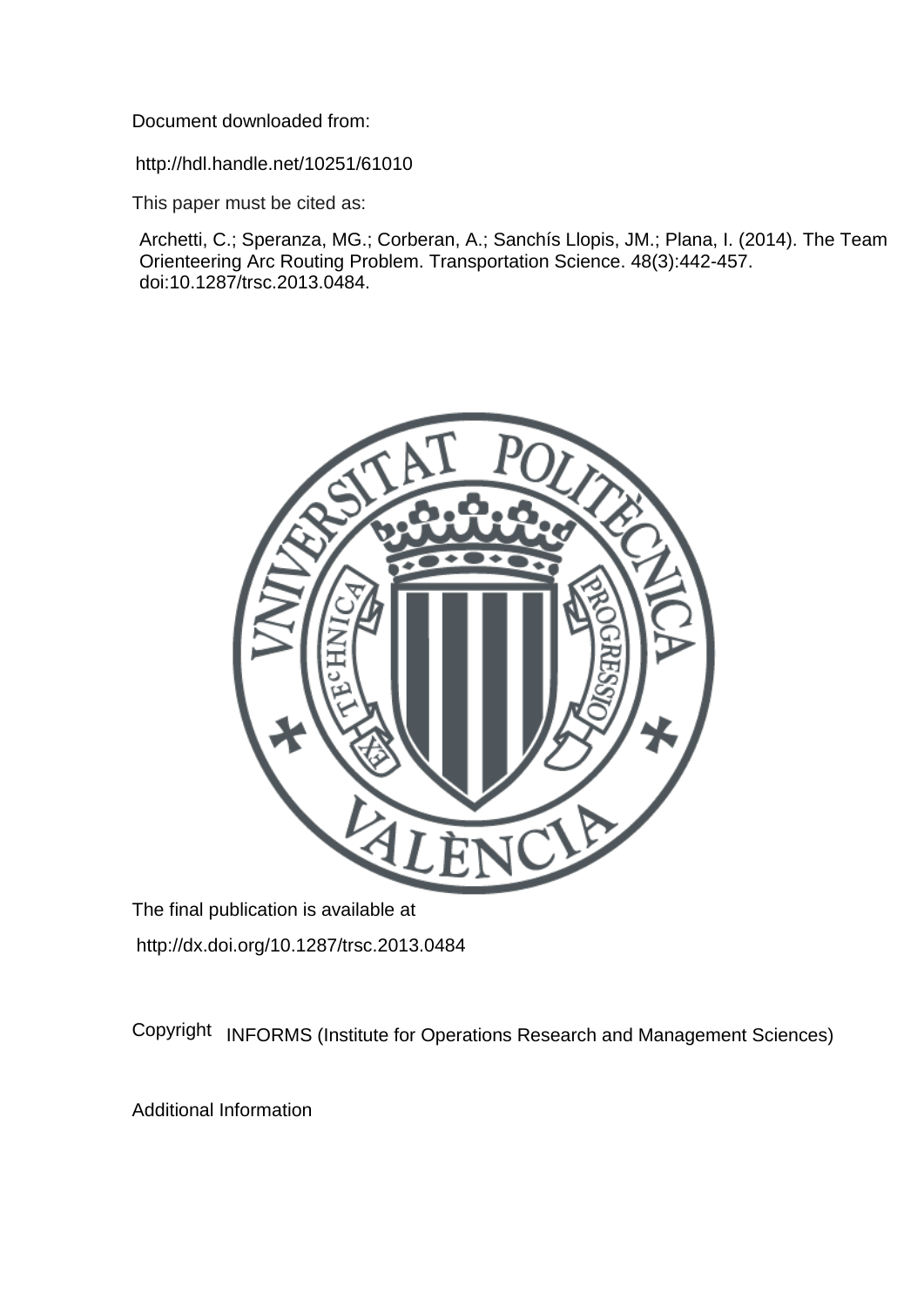Document downloaded from:

http://hdl.handle.net/10251/61010

This paper must be cited as:

Archetti, C.; Speranza, MG.; Corberan, A.; Sanchís Llopis, JM.; Plana, I. (2014). The Team Orienteering Arc Routing Problem. Transportation Science. 48(3):442-457. doi:10.1287/trsc.2013.0484.



The final publication is available at http://dx.doi.org/10.1287/trsc.2013.0484

Copyright INFORMS (Institute for Operations Research and Management Sciences)

Additional Information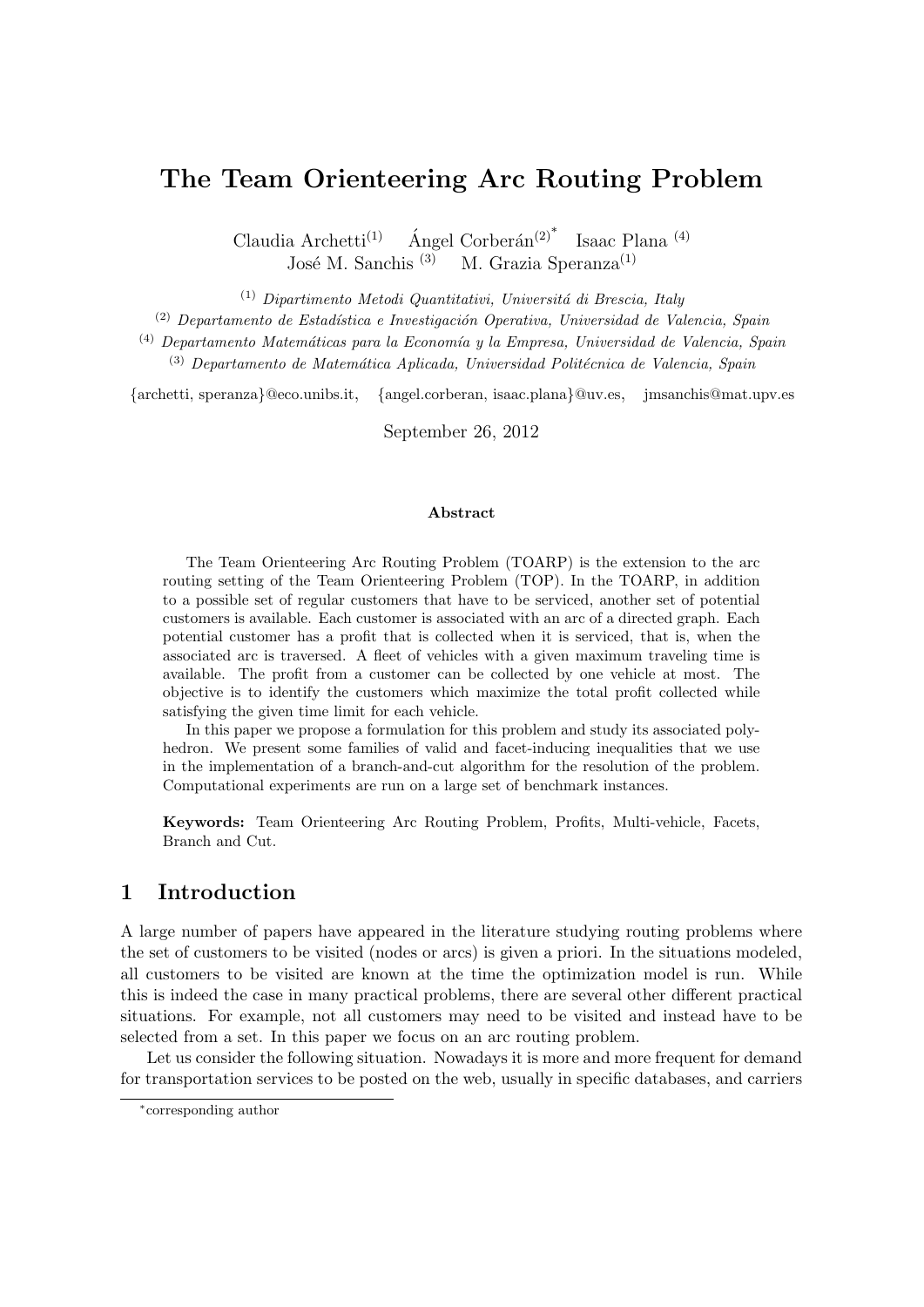# **The Team Orienteering Arc Routing Problem**

Claudia Archetti<sup>(1)</sup> Ángel Corberán<sup>(2)\*</sup> Isaac Plana (4) José M. Sanchis  $(3)$  M. Grazia Speranza $(1)$ 

(1) *Dipartimento Metodi Quantitativi, Universit´a di Brescia, Italy*

(2) *Departamento de Estad´ıstica e Investigaci´on Operativa, Universidad de Valencia, Spain*

<sup>(4)</sup> Departamento Matemáticas para la Economía y la Empresa, Universidad de Valencia, Spain

(3) *Departamento de Matem´atica Aplicada, Universidad Polit´ecnica de Valencia, Spain*

*{*archetti, speranza*}*@eco.unibs.it, *{*angel.corberan, isaac.plana*}*@uv.es, jmsanchis@mat.upv.es

September 26, 2012

#### **Abstract**

The Team Orienteering Arc Routing Problem (TOARP) is the extension to the arc routing setting of the Team Orienteering Problem (TOP). In the TOARP, in addition to a possible set of regular customers that have to be serviced, another set of potential customers is available. Each customer is associated with an arc of a directed graph. Each potential customer has a profit that is collected when it is serviced, that is, when the associated arc is traversed. A fleet of vehicles with a given maximum traveling time is available. The profit from a customer can be collected by one vehicle at most. The objective is to identify the customers which maximize the total profit collected while satisfying the given time limit for each vehicle.

In this paper we propose a formulation for this problem and study its associated polyhedron. We present some families of valid and facet-inducing inequalities that we use in the implementation of a branch-and-cut algorithm for the resolution of the problem. Computational experiments are run on a large set of benchmark instances.

**Keywords:** Team Orienteering Arc Routing Problem, Profits, Multi-vehicle, Facets, Branch and Cut.

# **1 Introduction**

A large number of papers have appeared in the literature studying routing problems where the set of customers to be visited (nodes or arcs) is given a priori. In the situations modeled, all customers to be visited are known at the time the optimization model is run. While this is indeed the case in many practical problems, there are several other different practical situations. For example, not all customers may need to be visited and instead have to be selected from a set. In this paper we focus on an arc routing problem.

Let us consider the following situation. Nowadays it is more and more frequent for demand for transportation services to be posted on the web, usually in specific databases, and carriers

*<sup>∗</sup>* corresponding author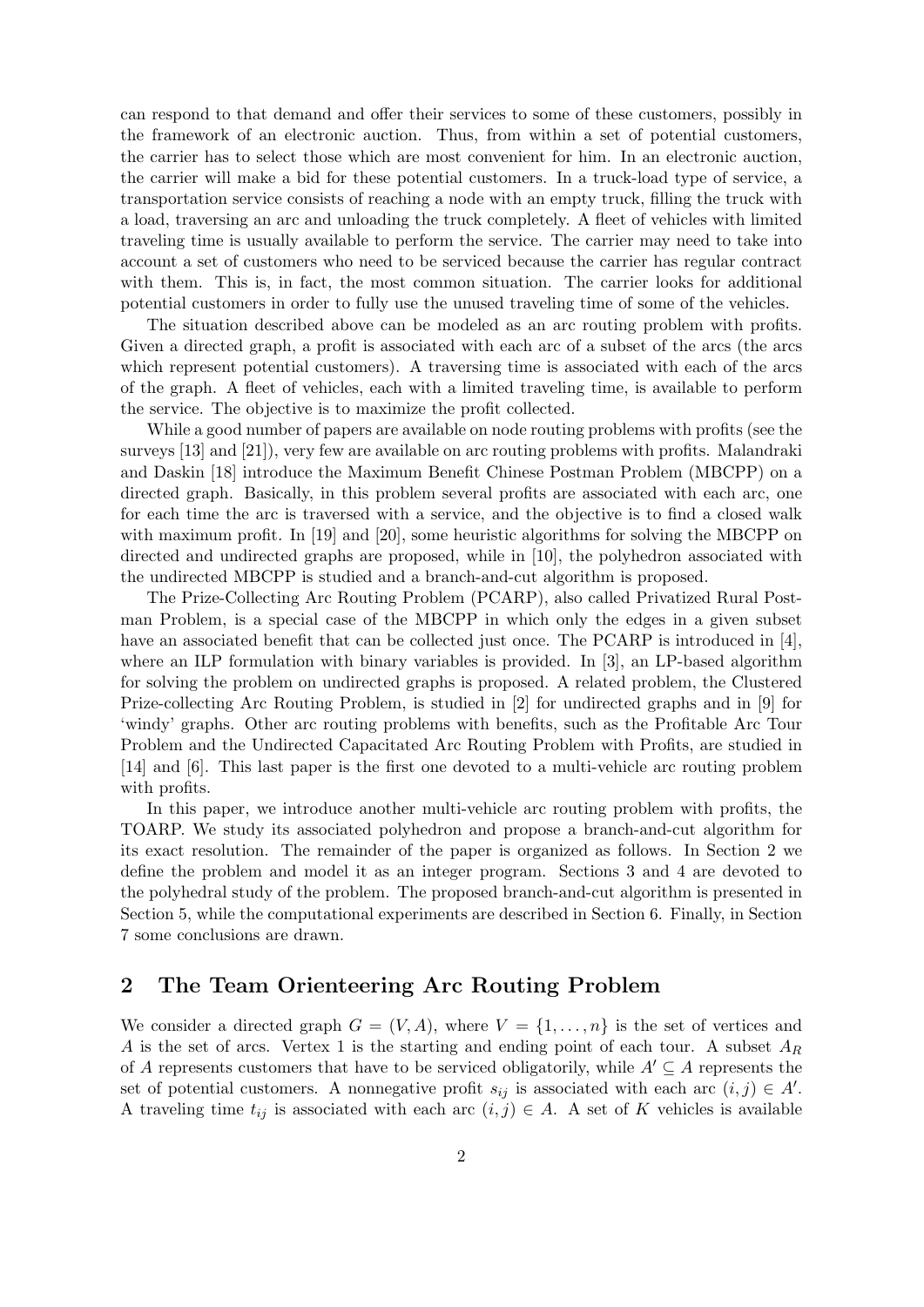can respond to that demand and offer their services to some of these customers, possibly in the framework of an electronic auction. Thus, from within a set of potential customers, the carrier has to select those which are most convenient for him. In an electronic auction, the carrier will make a bid for these potential customers. In a truck-load type of service, a transportation service consists of reaching a node with an empty truck, filling the truck with a load, traversing an arc and unloading the truck completely. A fleet of vehicles with limited traveling time is usually available to perform the service. The carrier may need to take into account a set of customers who need to be serviced because the carrier has regular contract with them. This is, in fact, the most common situation. The carrier looks for additional potential customers in order to fully use the unused traveling time of some of the vehicles.

The situation described above can be modeled as an arc routing problem with profits. Given a directed graph, a profit is associated with each arc of a subset of the arcs (the arcs which represent potential customers). A traversing time is associated with each of the arcs of the graph. A fleet of vehicles, each with a limited traveling time, is available to perform the service. The objective is to maximize the profit collected.

While a good number of papers are available on node routing problems with profits (see the surveys [13] and [21]), very few are available on arc routing problems with profits. Malandraki and Daskin [18] introduce the Maximum Benefit Chinese Postman Problem (MBCPP) on a directed graph. Basically, in this problem several profits are associated with each arc, one for each time the arc is traversed with a service, and the objective is to find a closed walk with maximum profit. In [19] and [20], some heuristic algorithms for solving the MBCPP on directed and undirected graphs are proposed, while in [10], the polyhedron associated with the undirected MBCPP is studied and a branch-and-cut algorithm is proposed.

The Prize-Collecting Arc Routing Problem (PCARP), also called Privatized Rural Postman Problem, is a special case of the MBCPP in which only the edges in a given subset have an associated benefit that can be collected just once. The PCARP is introduced in [4], where an ILP formulation with binary variables is provided. In [3], an LP-based algorithm for solving the problem on undirected graphs is proposed. A related problem, the Clustered Prize-collecting Arc Routing Problem, is studied in [2] for undirected graphs and in [9] for 'windy' graphs. Other arc routing problems with benefits, such as the Profitable Arc Tour Problem and the Undirected Capacitated Arc Routing Problem with Profits, are studied in [14] and [6]. This last paper is the first one devoted to a multi-vehicle arc routing problem with profits.

In this paper, we introduce another multi-vehicle arc routing problem with profits, the TOARP. We study its associated polyhedron and propose a branch-and-cut algorithm for its exact resolution. The remainder of the paper is organized as follows. In Section 2 we define the problem and model it as an integer program. Sections 3 and 4 are devoted to the polyhedral study of the problem. The proposed branch-and-cut algorithm is presented in Section 5, while the computational experiments are described in Section 6. Finally, in Section 7 some conclusions are drawn.

# **2 The Team Orienteering Arc Routing Problem**

We consider a directed graph  $G = (V, A)$ , where  $V = \{1, \ldots, n\}$  is the set of vertices and *A* is the set of arcs. Vertex 1 is the starting and ending point of each tour. A subset *A<sup>R</sup>* of *A* represents customers that have to be serviced obligatorily, while  $A' \subseteq A$  represents the set of potential customers. A nonnegative profit  $s_{ij}$  is associated with each arc  $(i, j) \in A'$ . A traveling time  $t_{ij}$  is associated with each arc  $(i, j) \in A$ . A set of *K* vehicles is available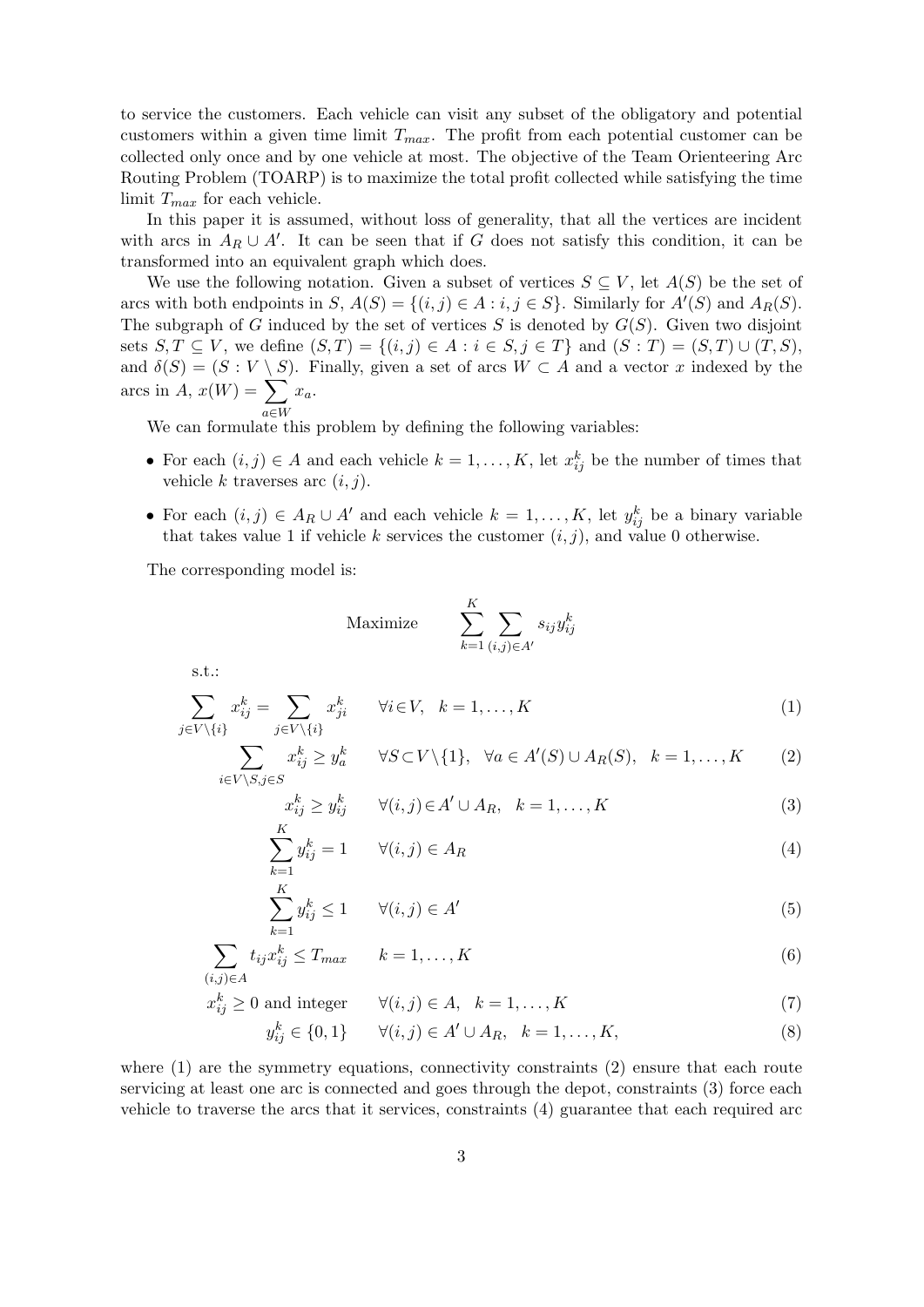to service the customers. Each vehicle can visit any subset of the obligatory and potential customers within a given time limit *Tmax*. The profit from each potential customer can be collected only once and by one vehicle at most. The objective of the Team Orienteering Arc Routing Problem (TOARP) is to maximize the total profit collected while satisfying the time limit *Tmax* for each vehicle.

In this paper it is assumed, without loss of generality, that all the vertices are incident with arcs in  $A_R \cup A'$ . It can be seen that if *G* does not satisfy this condition, it can be transformed into an equivalent graph which does.

We use the following notation. Given a subset of vertices  $S \subseteq V$ , let  $A(S)$  be the set of arcs with both endpoints in  $S$ ,  $A(S) = \{(i, j) \in A : i, j \in S\}$ . Similarly for  $A'(S)$  and  $A_R(S)$ . The subgraph of *G* induced by the set of vertices *S* is denoted by  $G(S)$ . Given two disjoint sets  $S, T \subseteq V$ , we define  $(S, T) = \{(i, j) \in A : i \in S, j \in T\}$  and  $(S : T) = (S, T) \cup (T, S)$ , and  $\delta(S) = (S : V \setminus S)$ . Finally, given a set of arcs  $W \subset A$  and a vector *x* indexed by the arcs in  $A, x(W) = \sum x_a$ .

*a∈W* We can formulate this problem by defining the following variables:

- For each  $(i, j) \in A$  and each vehicle  $k = 1, \ldots, K$ , let  $x_{ij}^k$  be the number of times that vehicle  $k$  traverses arc  $(i, j)$ .
- For each  $(i, j) \in A_R \cup A'$  and each vehicle  $k = 1, \ldots, K$ , let  $y_{ij}^k$  be a binary variable that takes value 1 if vehicle  $k$  services the customer  $(i, j)$ , and value 0 otherwise.

The corresponding model is:

$$
\text{Maximize} \qquad \sum_{k=1}^{K} \sum_{(i,j) \in A'} s_{ij} y_{ij}^k
$$

s.t.:

$$
\sum_{j \in V \setminus \{i\}} x_{ij}^k = \sum_{j \in V \setminus \{i\}} x_{ji}^k \qquad \forall i \in V, \quad k = 1, \dots, K
$$
\n(1)

$$
\sum_{i \in V \setminus S, j \in S} x_{ij}^k \ge y_a^k \qquad \forall S \subset V \setminus \{1\}, \quad \forall a \in A'(S) \cup A_R(S), \quad k = 1, \dots, K \tag{2}
$$

$$
x_{ij}^k \ge y_{ij}^k \qquad \forall (i,j) \in A' \cup A_R, \quad k = 1, \dots, K \tag{3}
$$

$$
\sum_{k=1}^{K} y_{ij}^k = 1 \qquad \forall (i, j) \in A_R \tag{4}
$$

$$
\sum_{k=1}^{K} y_{ij}^k \le 1 \qquad \forall (i,j) \in A' \tag{5}
$$

$$
\sum_{(i,j)\in A} t_{ij} x_{ij}^k \le T_{max} \qquad k = 1, \dots, K \tag{6}
$$

$$
x_{ij}^k \ge 0 \text{ and integer } \qquad \forall (i, j) \in A, \quad k = 1, \dots, K \tag{7}
$$

$$
y_{ij}^k \in \{0, 1\} \qquad \forall (i, j) \in A' \cup A_R, \quad k = 1, \dots, K,
$$
\n(8)

where  $(1)$  are the symmetry equations, connectivity constraints  $(2)$  ensure that each route servicing at least one arc is connected and goes through the depot, constraints (3) force each vehicle to traverse the arcs that it services, constraints (4) guarantee that each required arc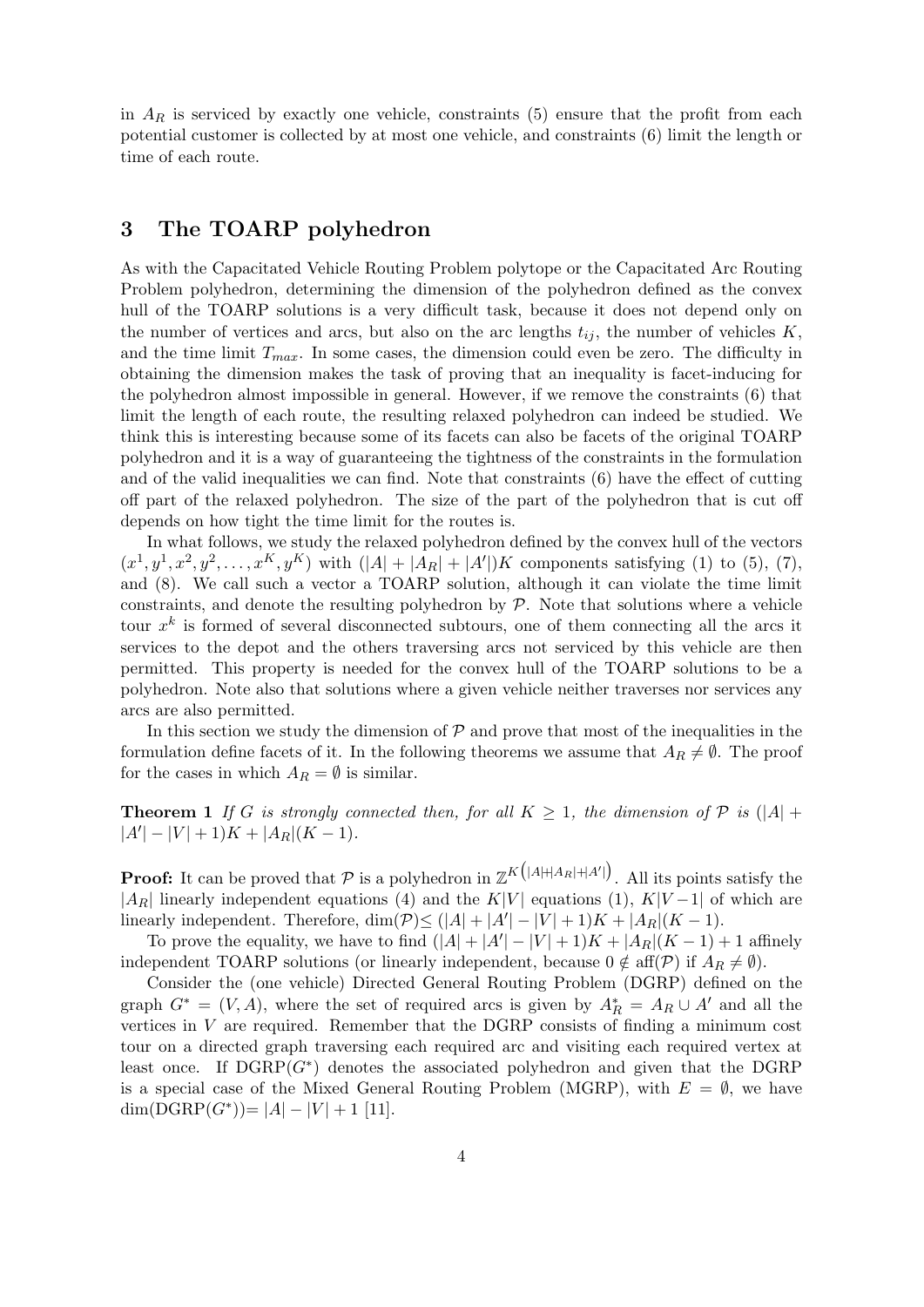in  $A_R$  is serviced by exactly one vehicle, constraints  $(5)$  ensure that the profit from each potential customer is collected by at most one vehicle, and constraints (6) limit the length or time of each route.

# **3 The TOARP polyhedron**

As with the Capacitated Vehicle Routing Problem polytope or the Capacitated Arc Routing Problem polyhedron, determining the dimension of the polyhedron defined as the convex hull of the TOARP solutions is a very difficult task, because it does not depend only on the number of vertices and arcs, but also on the arc lengths  $t_{ij}$ , the number of vehicles  $K_i$ and the time limit  $T_{max}$ . In some cases, the dimension could even be zero. The difficulty in obtaining the dimension makes the task of proving that an inequality is facet-inducing for the polyhedron almost impossible in general. However, if we remove the constraints (6) that limit the length of each route, the resulting relaxed polyhedron can indeed be studied. We think this is interesting because some of its facets can also be facets of the original TOARP polyhedron and it is a way of guaranteeing the tightness of the constraints in the formulation and of the valid inequalities we can find. Note that constraints (6) have the effect of cutting off part of the relaxed polyhedron. The size of the part of the polyhedron that is cut off depends on how tight the time limit for the routes is.

In what follows, we study the relaxed polyhedron defined by the convex hull of the vectors  $(x^1, y^1, x^2, y^2, \dots, x^K, y^K)$  with  $(|A| + |A_R| + |A'|)K$  components satisfying (1) to (5), (7), and (8). We call such a vector a TOARP solution, although it can violate the time limit constraints, and denote the resulting polyhedron by *P*. Note that solutions where a vehicle tour  $x^k$  is formed of several disconnected subtours, one of them connecting all the arcs it services to the depot and the others traversing arcs not serviced by this vehicle are then permitted. This property is needed for the convex hull of the TOARP solutions to be a polyhedron. Note also that solutions where a given vehicle neither traverses nor services any arcs are also permitted.

In this section we study the dimension of  $P$  and prove that most of the inequalities in the formulation define facets of it. In the following theorems we assume that  $A_R \neq \emptyset$ . The proof for the cases in which  $A_R = \emptyset$  is similar.

**Theorem 1** *If G is strongly connected then, for all*  $K \geq 1$ *, the dimension of*  $P$  *is* ( $|A|$  +  $|A'|-|V|+1)K + |A_R|(K-1)$ *.* 

**Proof:** It can be proved that  $P$  is a polyhedron in  $\mathbb{Z}^K(|A|+|A_R|+|A'|)$ . All its points satisfy the  $|A_R|$  linearly independent equations (4) and the *K*|*V* | equations (1), *K*|*V* − 1| of which are linearly independent. Therefore, dim $(\mathcal{P}) \leq (|A| + |A'| - |V| + 1)K + |A_R|(K - 1)$ .

To prove the equality, we have to find  $(|A| + |A'| - |V| + 1)K + |A_R|(K - 1) + 1$  affinely independent TOARP solutions (or linearly independent, because  $0 \notin \text{aff}(\mathcal{P})$  if  $A_R \neq \emptyset$ ).

Consider the (one vehicle) Directed General Routing Problem (DGRP) defined on the graph  $G^* = (V, A)$ , where the set of required arcs is given by  $A_R^* = A_R \cup A'$  and all the vertices in *V* are required. Remember that the DGRP consists of finding a minimum cost tour on a directed graph traversing each required arc and visiting each required vertex at least once. If  $DGRP(G^*)$  denotes the associated polyhedron and given that the DGRP is a special case of the Mixed General Routing Problem (MGRP), with  $E = \emptyset$ , we have  $\dim(D\text{GRP}(G^*))=|A|-|V|+1$  [11].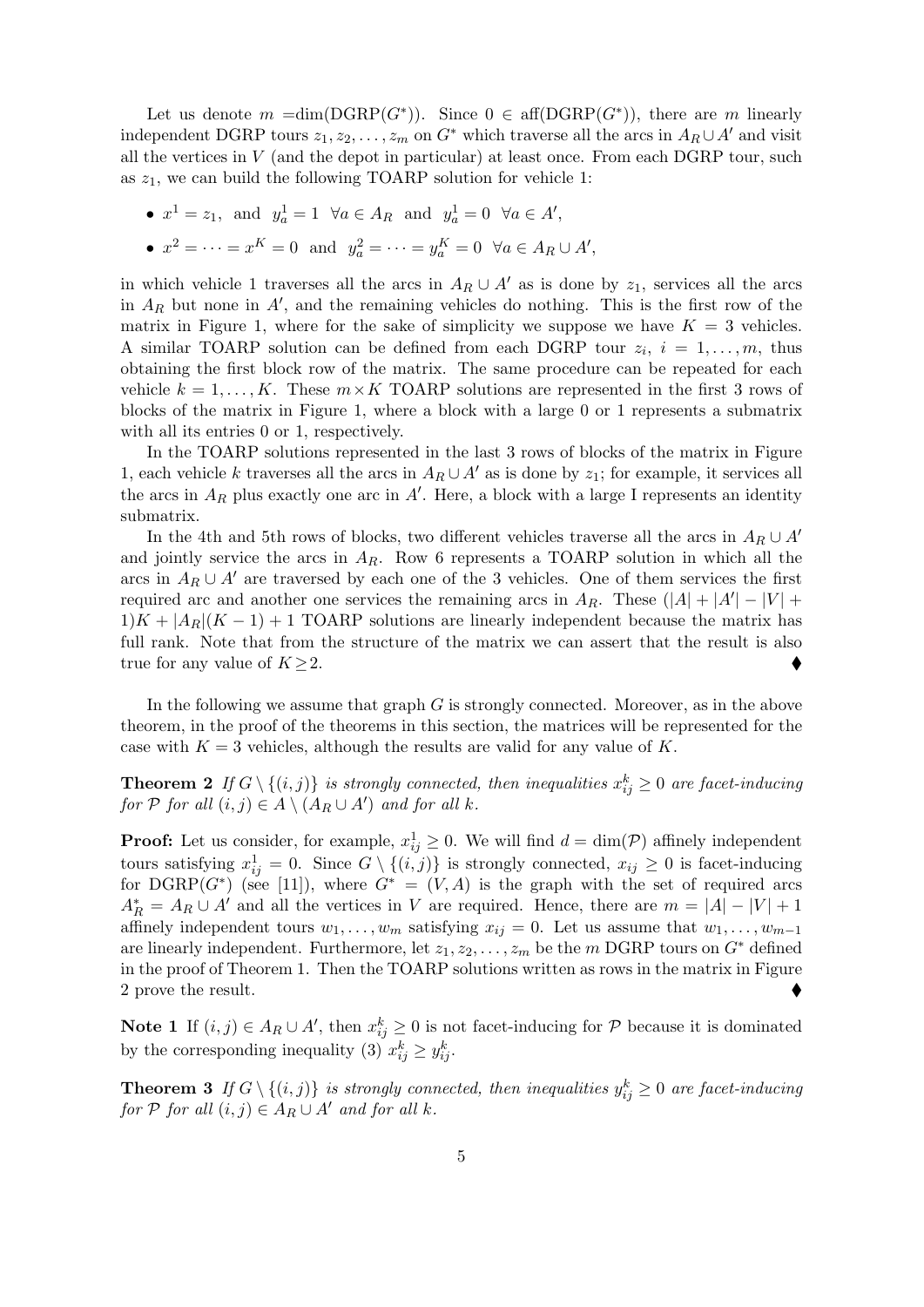Let us denote  $m = \dim(\text{DGRP}(G^*))$ . Since  $0 \in \text{aff}(\text{DGRP}(G^*))$ , there are  $m$  linearly independent DGRP tours  $z_1, z_2, \ldots, z_m$  on  $G^*$  which traverse all the arcs in  $A_R \cup A'$  and visit all the vertices in  $V$  (and the depot in particular) at least once. From each DGRP tour, such as *z*1, we can build the following TOARP solution for vehicle 1:

*•*  $x^1 = z_1$ , and  $y_a^1 = 1 \ \forall a \in A_R$  and  $y_a^1 = 0 \ \forall a \in A'$ , •  $x^2 = \cdots = x^K = 0$  and  $y_a^2 = \cdots = y_a^K = 0 \ \forall a \in A_R \cup A'$ ,

in which vehicle 1 traverses all the arcs in  $A_R \cup A'$  as is done by  $z_1$ , services all the arcs in *A<sup>R</sup>* but none in *A′* , and the remaining vehicles do nothing. This is the first row of the matrix in Figure 1, where for the sake of simplicity we suppose we have  $K = 3$  vehicles. A similar TOARP solution can be defined from each DGRP tour  $z_i$ ,  $i = 1, \ldots, m$ , thus obtaining the first block row of the matrix. The same procedure can be repeated for each vehicle  $k = 1, \ldots, K$ . These  $m \times K$  TOARP solutions are represented in the first 3 rows of blocks of the matrix in Figure 1, where a block with a large 0 or 1 represents a submatrix with all its entries 0 or 1, respectively.

In the TOARP solutions represented in the last 3 rows of blocks of the matrix in Figure 1, each vehicle *k* traverses all the arcs in  $A_R \cup A'$  as is done by  $z_1$ ; for example, it services all the arcs in  $A_R$  plus exactly one arc in  $A'$ . Here, a block with a large I represents an identity submatrix.

In the 4th and 5th rows of blocks, two different vehicles traverse all the arcs in  $A_R \cup A'$ and jointly service the arcs in  $A_R$ . Row 6 represents a TOARP solution in which all the arcs in  $A_R \cup A'$  are traversed by each one of the 3 vehicles. One of them services the first required arc and another one services the remaining arcs in  $A_R$ . These  $(|A| + |A'| - |V| +$  $1/K + |A_R|(K - 1) + 1$  TOARP solutions are linearly independent because the matrix has full rank. Note that from the structure of the matrix we can assert that the result is also true for any value of  $K \geq 2$ .

In the following we assume that graph *G* is strongly connected. Moreover, as in the above theorem, in the proof of the theorems in this section, the matrices will be represented for the case with  $K = 3$  vehicles, although the results are valid for any value of  $K$ .

**Theorem 2** *If*  $G \setminus \{(i,j)\}$  *is strongly connected, then inequalities*  $x_{ij}^k \geq 0$  *are facet-inducing for*  $P$  *for all*  $(i, j) \in A \setminus (A_R \cup A')$  *and for all k.* 

**Proof:** Let us consider, for example,  $x_{ij}^1 \geq 0$ . We will find  $d = \dim(\mathcal{P})$  affinely independent tours satisfying  $x_{ij}^1 = 0$ . Since  $G \setminus \{(i,j)\}\$ is strongly connected,  $x_{ij} \geq 0$  is facet-inducing for DGRP( $G^*$ ) (see [11]), where  $G^* = (V, A)$  is the graph with the set of required arcs  $A_R^* = A_R \cup A'$  and all the vertices in *V* are required. Hence, there are  $m = |A| - |V| + 1$ affinely independent tours  $w_1, \ldots, w_m$  satisfying  $x_{ij} = 0$ . Let us assume that  $w_1, \ldots, w_{m-1}$ are linearly independent. Furthermore, let  $z_1, z_2, \ldots, z_m$  be the *m* DGRP tours on  $G^*$  defined in the proof of Theorem 1. Then the TOARP solutions written as rows in the matrix in Figure 2 prove the result.

**Note 1** If  $(i, j)$  ∈  $A_R ∪ A'$ , then  $x_{ij}^k ≥ 0$  is not facet-inducing for  $P$  because it is dominated by the corresponding inequality (3)  $x_{ij}^k \geq y_{ij}^k$ .

**Theorem 3** *If*  $G \setminus \{(i,j)\}$  *is strongly connected, then inequalities*  $y_{ij}^k \geq 0$  *are facet-inducing for*  $P$  *for all*  $(i, j) \in A_R \cup A'$  *and for all*  $k$ *.*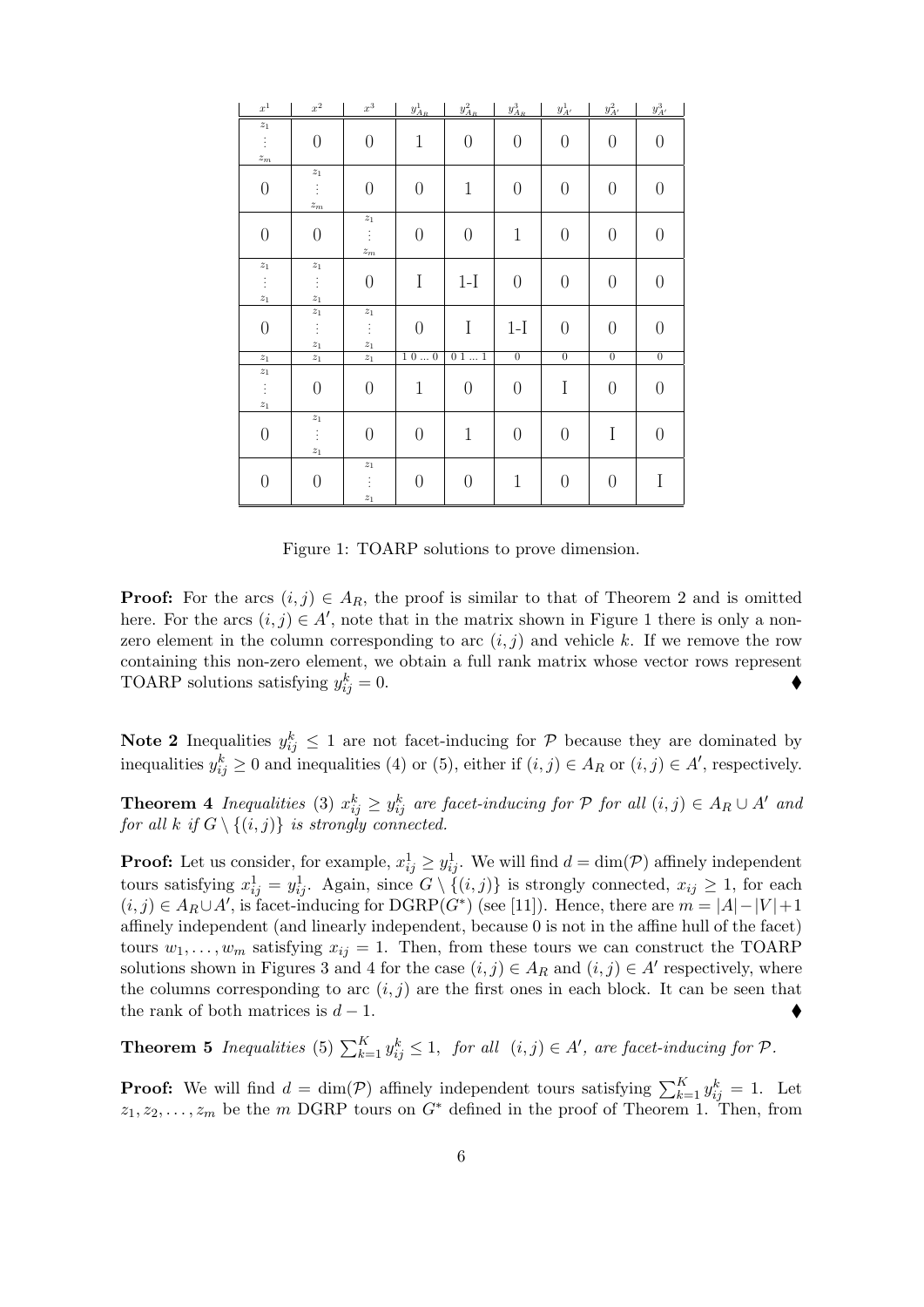| $\boldsymbol{x}^1$   | $\boldsymbol{x}^2$ | $\boldsymbol{x}^3$   | $y^1_{A_R}$      | $y_{A_R}^2$      | $y^3_{A_R}$      | $y^1_{A'}$       | $y_{A^\prime}^2$ | $y_{A^\prime}^3$ |
|----------------------|--------------------|----------------------|------------------|------------------|------------------|------------------|------------------|------------------|
| $\mathstrut z_1$     |                    |                      |                  |                  |                  |                  |                  |                  |
| ÷                    | $\theta$           | $\theta$             | $\mathbf 1$      | $\theta$         | $\overline{0}$   | $\boldsymbol{0}$ | $\overline{0}$   | $\theta$         |
| $\boldsymbol{z}_{m}$ |                    |                      |                  |                  |                  |                  |                  |                  |
|                      | $z_1$              |                      |                  |                  |                  |                  |                  |                  |
| $\boldsymbol{0}$     | ŧ                  | $\boldsymbol{0}$     | $\theta$         | $1\,$            | $\boldsymbol{0}$ | $\boldsymbol{0}$ | $\boldsymbol{0}$ | $\overline{0}$   |
|                      | $z_m$              |                      |                  |                  |                  |                  |                  |                  |
|                      |                    | $\boldsymbol{z}_1$   |                  |                  |                  |                  |                  |                  |
| $\theta$             | $\overline{0}$     | ţ.                   | $\theta$         | $\theta$         | $\mathbf{1}$     | $\theta$         | $\theta$         | $\overline{0}$   |
|                      |                    | $\boldsymbol{z}_{m}$ |                  |                  |                  |                  |                  |                  |
| $\mathstrut z_1$     | $\boldsymbol{z}_1$ |                      |                  |                  |                  |                  |                  |                  |
| Ť,                   | ŧ                  | $\theta$             | $\mathbf I$      | $1-I$            | $\boldsymbol{0}$ | $\theta$         | $\overline{0}$   | $\overline{0}$   |
| $\mathstrut z_1$     | $\boldsymbol{z}_1$ |                      |                  |                  |                  |                  |                  |                  |
|                      | $\boldsymbol{z}_1$ | $\boldsymbol{z}_1$   |                  |                  |                  |                  |                  |                  |
| $\boldsymbol{0}$     | ŧ                  | $\frac{1}{2}$        | $\theta$         | I                | $1-I$            | $\boldsymbol{0}$ | $\overline{0}$   | $\overline{0}$   |
|                      | $\boldsymbol{z}_1$ | $\boldsymbol{z}_1$   |                  |                  |                  |                  |                  |                  |
| $\boldsymbol{z}_1$   | $\boldsymbol{z}_1$ | $\boldsymbol{z}_1$   | $1\ 0\ \ 0$      | 011              | $\overline{0}$   | $\overline{0}$   | $\overline{0}$   | $\overline{0}$   |
| $z_1$                |                    |                      |                  |                  |                  |                  |                  |                  |
| Ť.                   | $\theta$           | $\boldsymbol{0}$     | $\mathbf 1$      | $\theta$         | $\boldsymbol{0}$ | I                | $\theta$         | $\overline{0}$   |
| $\mathcal{Z} _1$     |                    |                      |                  |                  |                  |                  |                  |                  |
|                      | $\mathcal{Z}1$     |                      |                  |                  |                  |                  |                  |                  |
| $\boldsymbol{0}$     | ŧ                  | $\theta$             | $\theta$         | $\mathbf 1$      | $\theta$         | $\theta$         | I                | $\overline{0}$   |
|                      | $\mathcal{Z} _1$   |                      |                  |                  |                  |                  |                  |                  |
|                      |                    | $\boldsymbol{z}_1$   |                  |                  |                  |                  |                  |                  |
| $\boldsymbol{0}$     | $\overline{0}$     | ŧ                    | $\boldsymbol{0}$ | $\boldsymbol{0}$ | $\mathbf 1$      | $\theta$         | $\boldsymbol{0}$ | I                |
|                      |                    | $\boldsymbol{z}_1$   |                  |                  |                  |                  |                  |                  |

Figure 1: TOARP solutions to prove dimension.

**Proof:** For the arcs  $(i, j) \in A_R$ , the proof is similar to that of Theorem 2 and is omitted here. For the arcs  $(i, j) \in A'$ , note that in the matrix shown in Figure 1 there is only a nonzero element in the column corresponding to arc  $(i, j)$  and vehicle  $k$ . If we remove the row containing this non-zero element, we obtain a full rank matrix whose vector rows represent TOARP solutions satisfying *y k*  $\stackrel{k}{ij} = 0.$ 

**Note 2** Inequalities  $y_{ij}^k \leq 1$  are not facet-inducing for  $P$  because they are dominated by inequalities  $y_{ij}^k \geq 0$  and inequalities (4) or (5), either if  $(i, j) \in A_R$  or  $(i, j) \in A'$ , respectively.

**Theorem 4** Inequalities (3)  $x_{ij}^k \ge y_{ij}^k$  are facet-inducing for  $P$  for all  $(i, j) \in A_R \cup A'$  and *for all*  $k$  *if*  $G \setminus \{(i, j)\}\$  *is strongly connected.* 

**Proof:** Let us consider, for example,  $x_{ij}^1 \geq y_{ij}^1$ . We will find  $d = \dim(\mathcal{P})$  affinely independent tours satisfying  $x_{ij}^1 = y_{ij}^1$ . Again, since  $G \setminus \{(i,j)\}\$ is strongly connected,  $x_{ij} \geq 1$ , for each  $(i, j)$  ∈  $A_R \cup A'$ , is facet-inducing for DGRP( $G^*$ ) (see [11]). Hence, there are  $m = |A| - |V| + 1$ affinely independent (and linearly independent, because 0 is not in the affine hull of the facet) tours  $w_1, \ldots, w_m$  satisfying  $x_{ij} = 1$ . Then, from these tours we can construct the TOARP solutions shown in Figures 3 and 4 for the case  $(i, j) \in A_R$  and  $(i, j) \in A'$  respectively, where the columns corresponding to arc  $(i, j)$  are the first ones in each block. It can be seen that the rank of both matrices is  $d-1$ .

**Theorem 5** *Inequalities* (5)  $\sum_{k=1}^{K} y_{ij}^{k} \leq 1$ , *for all*  $(i, j) \in A'$ , *are facet-inducing for*  $P$ *.* 

**Proof:** We will find  $d = \dim(\mathcal{P})$  affinely independent tours satisfying  $\sum_{k=1}^{K} y_{ij}^k = 1$ . Let  $z_1, z_2, \ldots, z_m$  be the *m* DGRP tours on  $G^*$  defined in the proof of Theorem 1. Then, from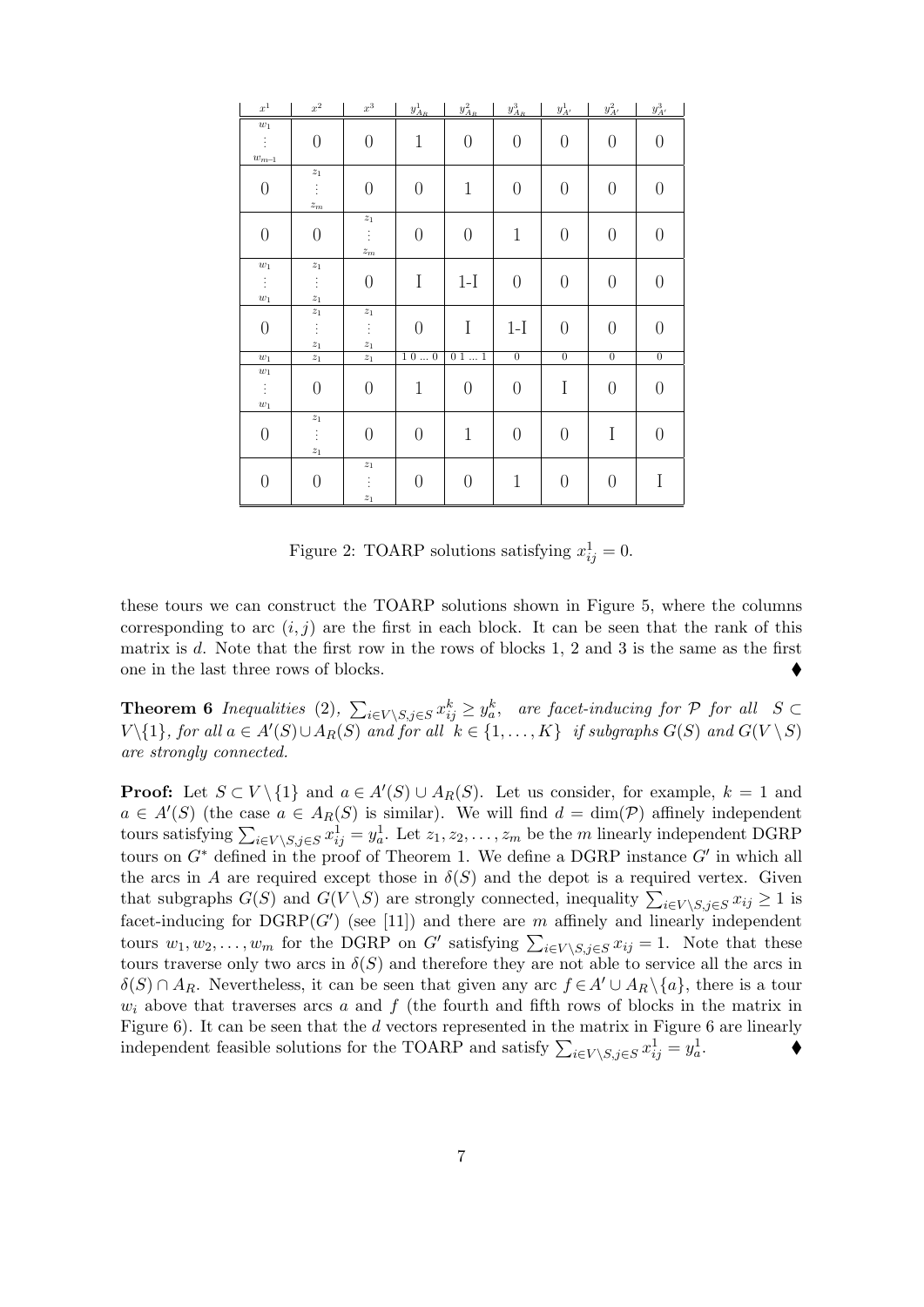| $x^1$                      | $\boldsymbol{x}^2$   | $\boldsymbol{x}^3$   | $y^1_{A_R}$      | $y^2_{A_R}$      | $y^3_{A_R}$      | $y^1_{A'}$       | $y_{A'}^2$       | $y_{A^\prime}^3$ |
|----------------------------|----------------------|----------------------|------------------|------------------|------------------|------------------|------------------|------------------|
| $\boldsymbol{w}_1$         |                      |                      |                  |                  |                  |                  |                  |                  |
| ÷                          | $\boldsymbol{0}$     | $\boldsymbol{0}$     | $\mathbf{1}$     | $\boldsymbol{0}$ | $\theta$         | $\boldsymbol{0}$ | $\boldsymbol{0}$ | $\boldsymbol{0}$ |
| $\boldsymbol{w}_{m\!-\!1}$ |                      |                      |                  |                  |                  |                  |                  |                  |
|                            | $\mathstrut z_1$     |                      |                  |                  |                  |                  |                  |                  |
| $\boldsymbol{0}$           | $\vdots$             | $\boldsymbol{0}$     | $\boldsymbol{0}$ | $\mathbf{1}$     | $\boldsymbol{0}$ | $\boldsymbol{0}$ | $\boldsymbol{0}$ | $\theta$         |
|                            | $\boldsymbol{z}_{m}$ |                      |                  |                  |                  |                  |                  |                  |
|                            |                      | $\boldsymbol{z}_1$   |                  |                  |                  |                  |                  |                  |
| $\theta$                   | $\theta$             | ŧ                    | $\theta$         | $\boldsymbol{0}$ | $\mathbf 1$      | $\boldsymbol{0}$ | $\theta$         | $\theta$         |
|                            |                      | $\boldsymbol{z}_{m}$ |                  |                  |                  |                  |                  |                  |
| $\boldsymbol{w}_1$         | $\boldsymbol{z}_1$   |                      |                  |                  |                  |                  |                  |                  |
| Ť,                         | ŧ                    | $\boldsymbol{0}$     | $\mathbf I$      | $1-I$            | $\theta$         | $\boldsymbol{0}$ | $\boldsymbol{0}$ | $\theta$         |
| $\boldsymbol{w}_1$         | $\boldsymbol{z}_1$   |                      |                  |                  |                  |                  |                  |                  |
|                            | $\boldsymbol{z}_1$   | $\boldsymbol{z}_1$   |                  |                  |                  |                  |                  |                  |
| $\boldsymbol{0}$           | Ť.                   | $\frac{1}{2}$        | $\boldsymbol{0}$ | $\mathbf I$      | $1-I$            | $\boldsymbol{0}$ | $\boldsymbol{0}$ | $\overline{0}$   |
|                            | $\boldsymbol{z}_1$   | $\boldsymbol{z}_1$   |                  |                  |                  |                  |                  |                  |
| $\boldsymbol{w}_1$         | $\boldsymbol{z}_1$   | $\boldsymbol{z}_1$   | 100              | 011              | $\overline{0}$   | $\overline{0}$   | $\overline{0}$   | $\overline{0}$   |
| $\boldsymbol{w}_1$         |                      |                      |                  |                  |                  |                  |                  |                  |
| Ť.                         | $\theta$             | $\boldsymbol{0}$     | $\mathbf{1}$     | $\boldsymbol{0}$ | $\boldsymbol{0}$ | $\rm I$          | $\theta$         | $\theta$         |
| $\boldsymbol{w}_1$         |                      |                      |                  |                  |                  |                  |                  |                  |
|                            | $\mathcal{Z} _1$     |                      |                  |                  |                  |                  |                  |                  |
| $\boldsymbol{0}$           | $\vdots$             | $\boldsymbol{0}$     | $\theta$         | $\mathbf{1}$     | $\theta$         | $\boldsymbol{0}$ | I                | $\theta$         |
|                            | $\mathcal{Z}_1$      |                      |                  |                  |                  |                  |                  |                  |
|                            |                      | $\boldsymbol{z}_1$   |                  |                  |                  |                  |                  |                  |
| $\boldsymbol{0}$           | $\boldsymbol{0}$     | ŧ                    | $\boldsymbol{0}$ | $\boldsymbol{0}$ | $\mathbf 1$      | $\boldsymbol{0}$ | $\boldsymbol{0}$ | I                |
|                            |                      | $z_1$                |                  |                  |                  |                  |                  |                  |

Figure 2: TOARP solutions satisfying  $x_{ij}^1 = 0$ .

these tours we can construct the TOARP solutions shown in Figure 5, where the columns corresponding to arc  $(i, j)$  are the first in each block. It can be seen that the rank of this matrix is *d*. Note that the first row in the rows of blocks 1, 2 and 3 is the same as the first one in the last three rows of blocks.

**Theorem 6** Inequalities (2),  $\sum_{i \in V \setminus S, j \in S} x_{ij}^k \geq y_a^k$ , are facet-inducing for P for all  $S \subset$  $V\setminus\{1\}$ , for all  $a\in A'(S)\cup A_R(S)$  and for all  $k\in\{1,\ldots,K\}$  if subgraphs  $G(S)$  and  $G(V\setminus S)$ *are strongly connected.*

**Proof:** Let  $S \subset V \setminus \{1\}$  and  $a \in A'(S) \cup A_R(S)$ . Let us consider, for example,  $k = 1$  and  $a \in A'(S)$  (the case  $a \in A_R(S)$  is similar). We will find  $d = \dim(\mathcal{P})$  affinely independent tours satisfying  $\sum_{i \in V \setminus S, j \in S} x_{ij}^1 = y_a^1$ . Let  $z_1, z_2, \ldots, z_m$  be the *m* linearly independent DGRP tours on *G<sup>∗</sup>* defined in the proof of Theorem 1. We define a DGRP instance *G′* in which all the arcs in *A* are required except those in  $\delta(S)$  and the depot is a required vertex. Given that subgraphs  $G(S)$  and  $G(V \setminus S)$  are strongly connected, inequality  $\sum_{i \in V \setminus S, j \in S} x_{ij} \geq 1$  is facet-inducing for  $DGRP(G')$  (see [11]) and there are  $m$  affinely and linearly independent tours  $w_1, w_2, \ldots, w_m$  for the DGRP on *G'* satisfying  $\sum_{i \in V \setminus S, j \in S} x_{ij} = 1$ . Note that these tours traverse only two arcs in  $\delta(S)$  and therefore they are not able to service all the arcs in  $\delta(S) \cap A_R$ . Nevertheless, it can be seen that given any arc  $f \in A' \cup A_R \setminus \{a\}$ , there is a tour  $w_i$  above that traverses arcs *a* and  $f$  (the fourth and fifth rows of blocks in the matrix in Figure 6). It can be seen that the *d* vectors represented in the matrix in Figure 6 are linearly independent feasible solutions for the TOARP and satisfy  $\sum_{i \in V \setminus S, j \in S} x_{ij}^1 = y_a^1$ .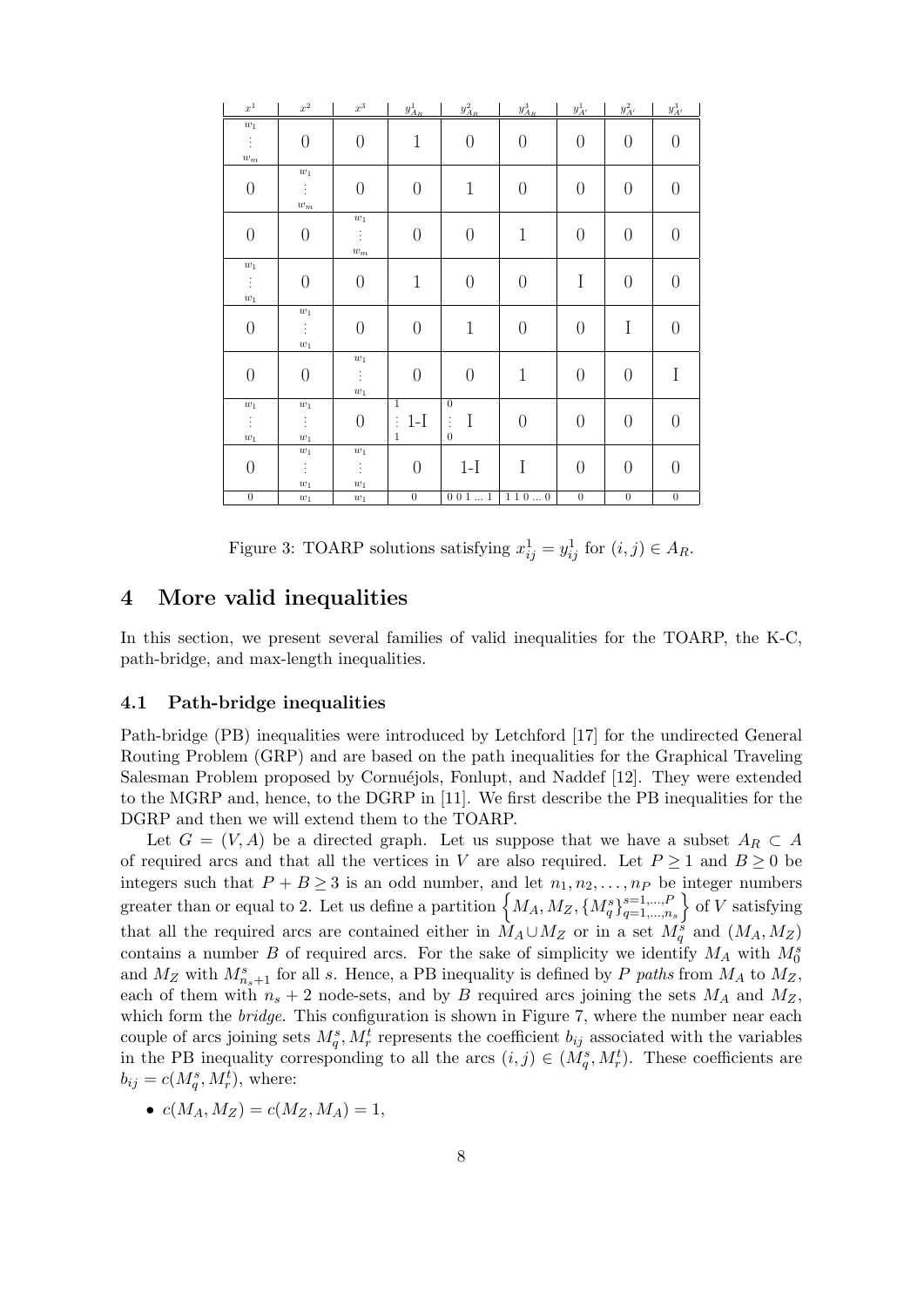| $\boldsymbol{x}^1$   | $x^2$                | $\boldsymbol{x}^3$   | $y^1_{A_R}$       | $y^2_{A_R}$       | $y^3_{A_R}$      | $y^1_{A'}$       | $y_{A^\prime}^2$ | $y_{A^\prime}^3$ |
|----------------------|----------------------|----------------------|-------------------|-------------------|------------------|------------------|------------------|------------------|
| $\boldsymbol{w}_1$   |                      |                      |                   |                   |                  |                  |                  |                  |
| $\ddot{\ddot{z}}$    | $\theta$             | $\boldsymbol{0}$     | $\mathbf{1}$      | $\theta$          | $\theta$         | $\boldsymbol{0}$ | $\boldsymbol{0}$ | $\boldsymbol{0}$ |
| $\boldsymbol{w}_{m}$ |                      |                      |                   |                   |                  |                  |                  |                  |
|                      | $\boldsymbol{w}_1$   |                      |                   |                   |                  |                  |                  |                  |
| $\boldsymbol{0}$     | $\ddot{\ddot{z}}$    | $\boldsymbol{0}$     | $\boldsymbol{0}$  | $\mathbf 1$       | $\boldsymbol{0}$ | $\boldsymbol{0}$ | $\boldsymbol{0}$ | $\boldsymbol{0}$ |
|                      | $\boldsymbol{w}_{m}$ |                      |                   |                   |                  |                  |                  |                  |
|                      |                      | $\boldsymbol{w}_1$   |                   |                   |                  |                  |                  |                  |
| $\boldsymbol{0}$     | $\theta$             | ÷                    | $\boldsymbol{0}$  | $\theta$          | $\mathbf 1$      | $\theta$         | $\boldsymbol{0}$ | $\boldsymbol{0}$ |
|                      |                      | $\boldsymbol{w}_{m}$ |                   |                   |                  |                  |                  |                  |
| $\boldsymbol{w}_1$   |                      |                      |                   |                   |                  |                  |                  |                  |
| Ť,                   | $\boldsymbol{0}$     | $\boldsymbol{0}$     | $1\,$             | $\boldsymbol{0}$  | $\boldsymbol{0}$ | $\rm I$          | $\boldsymbol{0}$ | $\boldsymbol{0}$ |
| $\boldsymbol{w}_1$   |                      |                      |                   |                   |                  |                  |                  |                  |
|                      | $\boldsymbol{w}_1$   |                      |                   |                   |                  |                  |                  |                  |
| $\boldsymbol{0}$     | $\ddot{\ddot{z}}$    | $\boldsymbol{0}$     | $\boldsymbol{0}$  | $\mathbf 1$       | $\theta$         | $\overline{0}$   | $\mathbf I$      | $\boldsymbol{0}$ |
|                      | $\boldsymbol{w}_1$   | $\boldsymbol{w}_1$   |                   |                   |                  |                  |                  |                  |
| $\boldsymbol{0}$     | $\boldsymbol{0}$     | ŧ                    | $\overline{0}$    | $\theta$          | $\mathbf 1$      | $\overline{0}$   | $\boldsymbol{0}$ | $\rm I$          |
|                      |                      |                      |                   |                   |                  |                  |                  |                  |
| $\boldsymbol{w}_1$   | $\boldsymbol{w}_1$   | $\boldsymbol{w}_1$   | $\mathbf{1}$      | $\mathbf{0}$      |                  |                  |                  |                  |
| ŧ                    | Ť.                   | $\boldsymbol{0}$     | $1-I$<br>$\vdots$ | $\mathbf I$<br>ŧ. | $\boldsymbol{0}$ | $\boldsymbol{0}$ | $\boldsymbol{0}$ | $\boldsymbol{0}$ |
| $\boldsymbol{w}_1$   | $\boldsymbol{w}_1$   |                      | $\mathbf{1}$      | $\boldsymbol{0}$  |                  |                  |                  |                  |
|                      | $\boldsymbol{w}_1$   | $\boldsymbol{w}_1$   |                   |                   |                  |                  |                  |                  |
| $\boldsymbol{0}$     | Ť,                   | ÷                    | $\theta$          | $1-I$             | I                | $\theta$         | $\boldsymbol{0}$ | $\boldsymbol{0}$ |
|                      | $\boldsymbol{w}_1$   | $\boldsymbol{w}_1$   |                   |                   |                  |                  |                  |                  |
| $\overline{0}$       | $\boldsymbol{w}_1$   | $\boldsymbol{w}_1$   | $\overline{0}$    | $0\;0\;1\;\;1$    | 1100             | $\overline{0}$   | $\overline{0}$   | $\overline{0}$   |

Figure 3: TOARP solutions satisfying  $x_{ij}^1 = y_{ij}^1$  for  $(i, j) \in A_R$ .

# **4 More valid inequalities**

In this section, we present several families of valid inequalities for the TOARP, the K-C, path-bridge, and max-length inequalities.

## **4.1 Path-bridge inequalities**

Path-bridge (PB) inequalities were introduced by Letchford [17] for the undirected General Routing Problem (GRP) and are based on the path inequalities for the Graphical Traveling Salesman Problem proposed by Cornuéjols, Fonlupt, and Naddef [12]. They were extended to the MGRP and, hence, to the DGRP in [11]. We first describe the PB inequalities for the DGRP and then we will extend them to the TOARP.

Let  $G = (V, A)$  be a directed graph. Let us suppose that we have a subset  $A_R \subset A$ of required arcs and that all the vertices in *V* are also required. Let  $P \ge 1$  and  $B \ge 0$  be integers such that  $P + B \ge 3$  is an odd number, and let  $n_1, n_2, \ldots, n_P$  be integer numbers greater than or equal to 2. Let us define a partition  $\left\{ M_A, M_Z, \left\{ M_q^s \right\}_{q=1,\dots,n}^{s=1,\dots,F} \right\}$ *q*=1*,...,ns*  $\left\{ \text{ of } V \text{ satisfying} \right\}$ that all the required arcs are contained either in  $\tilde{M}_A \cup M_Z$  or in a set  $M_q^{\tilde{s}}$  and  $(M_A, M_Z)$ contains a number *B* of required arcs. For the sake of simplicity we identify  $M_A$  with  $M_0^s$ and  $M_Z$  with  $M_{n_s+1}^s$  for all *s*. Hence, a PB inequality is defined by *P paths* from  $M_A$  to  $M_Z$ , each of them with  $n_s + 2$  node-sets, and by *B* required arcs joining the sets  $M_A$  and  $M_Z$ . which form the *bridge*. This configuration is shown in Figure 7, where the number near each couple of arcs joining sets  $M_q^s$ ,  $M_r^t$  represents the coefficient  $b_{ij}$  associated with the variables in the PB inequality corresponding to all the arcs  $(i, j) \in (M_q^s, M_r^t)$ . These coefficients are  $b_{ij} = c(M_q^s, M_r^t)$ , where:

$$
\bullet \ c(M_A,M_Z)=c(M_Z,M_A)=1,
$$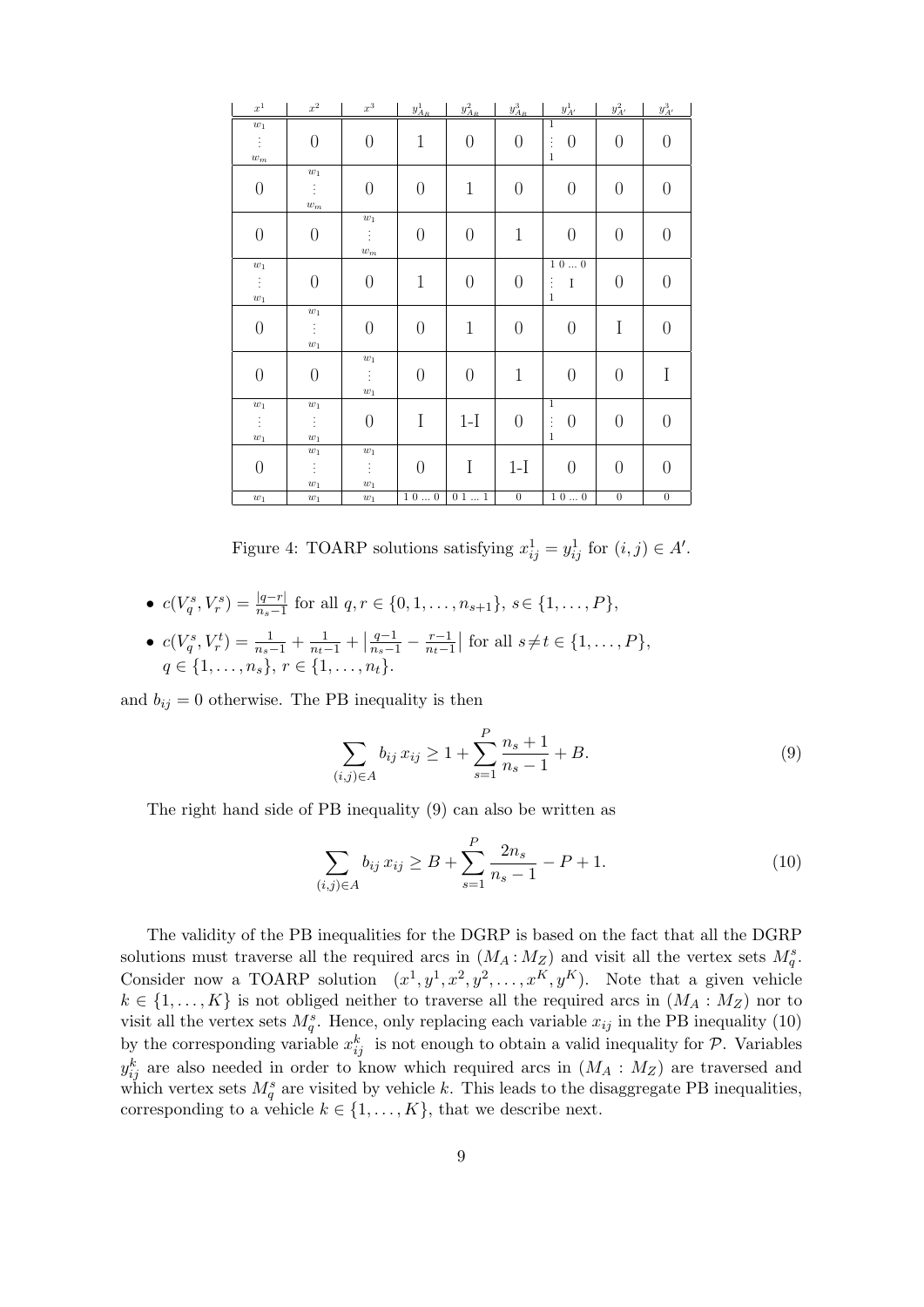| $\boldsymbol{x}^1$                                     | $\boldsymbol{x}^2$                                                | $x^3$                                            | $y^1_{A_R}$    | $y^2_{A_R}$      | $y^3_{A_R}$      | $y^1_{A'}$                                 | $y_{A^\prime}^2$ | $y_{A^\prime}^3$ |
|--------------------------------------------------------|-------------------------------------------------------------------|--------------------------------------------------|----------------|------------------|------------------|--------------------------------------------|------------------|------------------|
| $\boldsymbol{w}_1$                                     |                                                                   |                                                  |                |                  |                  | $\overline{1}$                             |                  |                  |
| ÷.                                                     | $\boldsymbol{0}$                                                  | $\theta$                                         | $\mathbf 1$    | $\theta$         | $\theta$         | $\theta$<br>ŧ                              | $\theta$         | $\theta$         |
| $\boldsymbol{w}_{m}$                                   |                                                                   |                                                  |                |                  |                  | $\,1\,$                                    |                  |                  |
| $\boldsymbol{0}$                                       | $\boldsymbol{w}_1$<br>$\ddot{\mathrm{i}}$<br>$\boldsymbol{w}_{m}$ | $\boldsymbol{0}$                                 | $\theta$       | $\mathbf 1$      | $\boldsymbol{0}$ | $\boldsymbol{0}$                           | $\boldsymbol{0}$ | $\overline{0}$   |
| $\boldsymbol{0}$                                       | $\boldsymbol{0}$                                                  | $\boldsymbol{w}_1$<br>÷.<br>$\boldsymbol{w}_{m}$ | $\overline{0}$ | $\boldsymbol{0}$ | $\mathbf{1}$     | $\boldsymbol{0}$                           | $\boldsymbol{0}$ | $\boldsymbol{0}$ |
| $\boldsymbol{w}_1$<br>$\ddot{z}$<br>$\boldsymbol{w}_1$ | $\boldsymbol{0}$                                                  | $\boldsymbol{0}$                                 | $\mathbf 1$    | $\boldsymbol{0}$ | $\boldsymbol{0}$ | 100<br>÷<br>$\rm I$<br>$\,1\,$             | $\boldsymbol{0}$ | $\boldsymbol{0}$ |
| $\boldsymbol{0}$                                       | $\boldsymbol{w}_1$<br>Ť,<br>$\boldsymbol{w}_1$                    | $\boldsymbol{0}$                                 | $\theta$       | $\mathbf 1$      | $\boldsymbol{0}$ | $\boldsymbol{0}$                           | I                | $\theta$         |
| $\boldsymbol{0}$                                       | $\boldsymbol{0}$                                                  | $\boldsymbol{w}_1$<br>Ť.<br>$\boldsymbol{w}_1$   | $\theta$       | $\theta$         | $\mathbf 1$      | $\boldsymbol{0}$                           | $\boldsymbol{0}$ | I                |
| $\boldsymbol{w}_1$<br>$\vdots$<br>$\boldsymbol{w}_1$   | $\boldsymbol{w}_1$<br>ŧ.<br>$\boldsymbol{w}_1$                    | $\boldsymbol{0}$                                 | I              | $1-I$            | $\theta$         | $\overline{1}$<br>$\theta$<br>ŧ<br>$\,1\,$ | $\boldsymbol{0}$ | $\boldsymbol{0}$ |
| $\boldsymbol{0}$                                       | $\boldsymbol{w}_1$<br>$\vdots$<br>$\boldsymbol{w}_1$              | $\boldsymbol{w}_1$<br>Ť.<br>$\boldsymbol{w}_1$   | $\overline{0}$ | $\bf I$          | $1-I$            | $\boldsymbol{0}$                           | $\boldsymbol{0}$ | $\overline{0}$   |
| $\boldsymbol{w}_1$                                     | $\boldsymbol{w}_1$                                                | $\boldsymbol{w}_1$                               | $1\ 0\ \ 0$    | $0\ 1\ \ 1$      | $\overline{0}$   | $1\ 0\ \dots\ 0$                           | $\overline{0}$   | $\overline{0}$   |

Figure 4: TOARP solutions satisfying  $x_{ij}^1 = y_{ij}^1$  for  $(i, j) \in A'$ .

- $c(V_q^s, V_r^s) = \frac{|q-r|}{n_s-1}$  for all  $q, r \in \{0, 1, \ldots, n_{s+1}\}, s \in \{1, \ldots, P\},$
- $c(V_q^s, V_r^t) = \frac{1}{n_s-1} + \frac{1}{n_t-1} + \left| \frac{q-1}{n_s-1} \frac{r-1}{n_t-1} \right|$  $\left| \frac{r-1}{n_t-1} \right|$  for all  $s \neq t \in \{1, ..., P\}$ ,  $q \in \{1, \ldots, n_s\}, r \in \{1, \ldots, n_t\}.$

and  $b_{ij} = 0$  otherwise. The PB inequality is then

$$
\sum_{(i,j)\in A} b_{ij} x_{ij} \ge 1 + \sum_{s=1}^{P} \frac{n_s + 1}{n_s - 1} + B.
$$
 (9)

The right hand side of PB inequality (9) can also be written as

$$
\sum_{(i,j)\in A} b_{ij} x_{ij} \ge B + \sum_{s=1}^{P} \frac{2n_s}{n_s - 1} - P + 1.
$$
 (10)

The validity of the PB inequalities for the DGRP is based on the fact that all the DGRP solutions must traverse all the required arcs in  $(M_A : M_Z)$  and visit all the vertex sets  $M_q^s$ . Consider now a TOARP solution  $(x^1, y^1, x^2, y^2, \ldots, x^K, y^K)$ . Note that a given vehicle  $k \in \{1, \ldots, K\}$  is not obliged neither to traverse all the required arcs in  $(M_A : M_Z)$  nor to visit all the vertex sets  $M_q^s$ . Hence, only replacing each variable  $x_{ij}$  in the PB inequality (10) by the corresponding variable  $x_{ij}^k$  is not enough to obtain a valid inequality for  $P$ . Variables  $y_{ij}^k$  are also needed in order to know which required arcs in  $(M_A : M_Z)$  are traversed and which vertex sets  $M_q^s$  are visited by vehicle k. This leads to the disaggregate PB inequalities, corresponding to a vehicle  $k \in \{1, \ldots, K\}$ , that we describe next.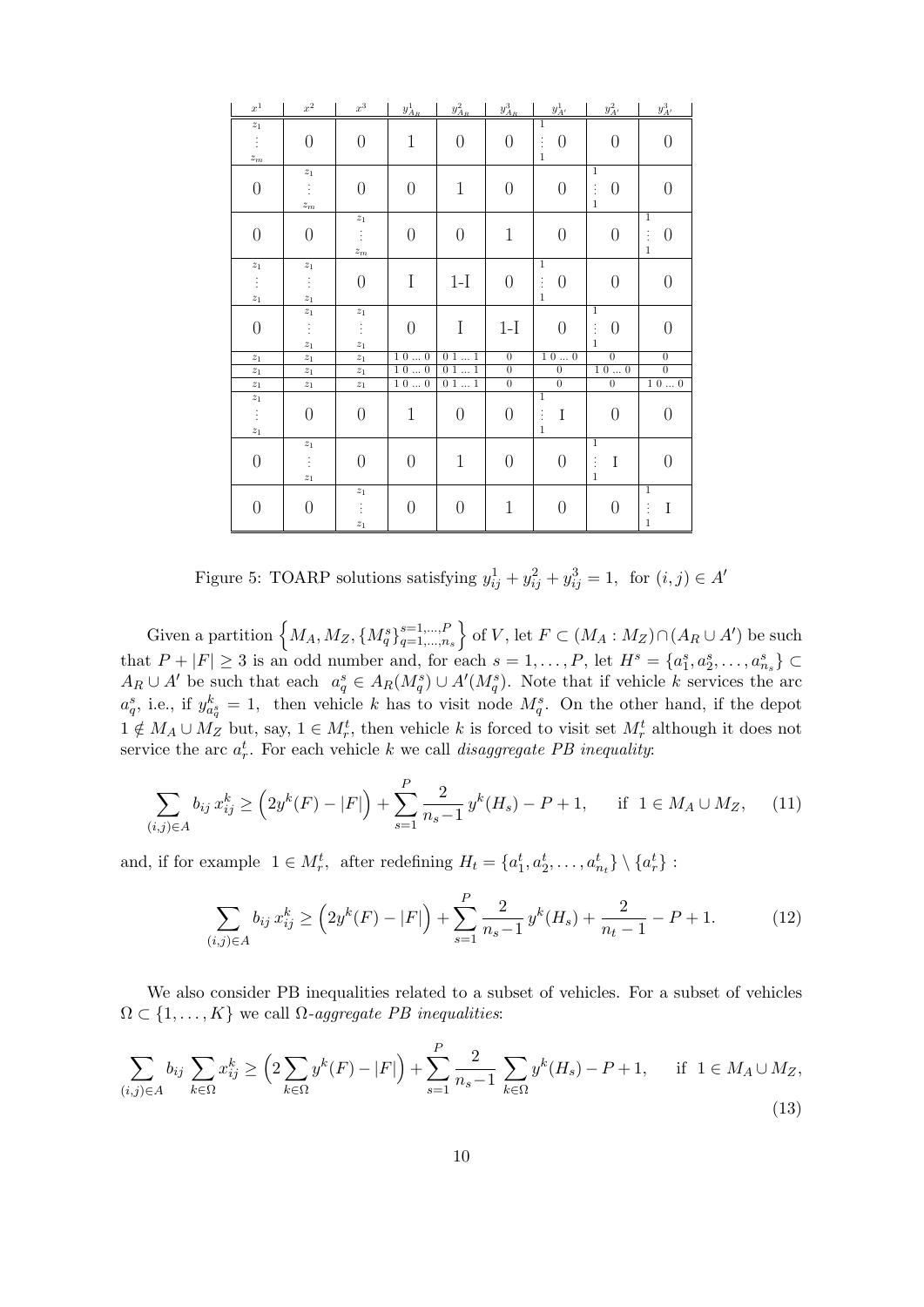| $\boldsymbol{x}^1$   | $x^2$                | $x^3$                | $y^1_{A_R}$                                           | $y^2_{A_R}$                       | $y^3_{A_R}$    | $y^1_{A'}$       | $y_{A^\prime}^2$           | $y_{A^\prime}^3$ |
|----------------------|----------------------|----------------------|-------------------------------------------------------|-----------------------------------|----------------|------------------|----------------------------|------------------|
| $z_1$                |                      |                      |                                                       |                                   |                | 1                |                            |                  |
| ŧ                    | $\theta$             | $\overline{0}$       | $\mathbf 1$                                           | $\overline{0}$                    | $\overline{0}$ | $\theta$<br>ŧ    | $\boldsymbol{0}$           | $\overline{0}$   |
| $\boldsymbol{z}_{m}$ |                      |                      |                                                       |                                   |                | $\mathbf{1}$     |                            |                  |
|                      | $z_1$                |                      |                                                       |                                   |                |                  | $\overline{1}$             |                  |
| $\boldsymbol{0}$     | ŧ                    | $\overline{0}$       | $\overline{0}$                                        | $\mathbf 1$                       | $\overline{0}$ | $\boldsymbol{0}$ | $\vdots$<br>$\overline{0}$ | $\overline{0}$   |
|                      | $\boldsymbol{z}_{m}$ |                      |                                                       |                                   |                |                  | $\mathbf{1}$               |                  |
|                      |                      | $z_1$                |                                                       |                                   |                |                  |                            | $\overline{1}$   |
| $\boldsymbol{0}$     | $\overline{0}$       | ŧ                    | $\overline{0}$                                        | $\overline{0}$                    | $\mathbf 1$    | $\boldsymbol{0}$ | $\boldsymbol{0}$           | ÷<br>0           |
|                      |                      | $\boldsymbol{z}_{m}$ |                                                       |                                   |                |                  |                            | $\mathbf{1}$     |
| $\boldsymbol{z}_1$   | $\mathstrut z_1$     |                      |                                                       |                                   |                | $\overline{1}$   |                            |                  |
| $\vdots$             | ŧ,                   | $\overline{0}$       | $\mathbf I$                                           | $1-I$                             | $\overline{0}$ | ÷<br>$\theta$    | $\boldsymbol{0}$           | $\overline{0}$   |
| $\boldsymbol{z}_1$   | $\boldsymbol{z}_1$   |                      |                                                       |                                   |                | $\mathbf{1}$     |                            |                  |
|                      | $\boldsymbol{z}_1$   | $\boldsymbol{z}_1$   |                                                       |                                   |                |                  | $\overline{1}$             |                  |
| $\boldsymbol{0}$     | ŧ                    | ŧ                    | $\overline{0}$                                        | I                                 | $1-I$          | $\overline{0}$   | ŧ<br>$\overline{0}$        | $\Omega$         |
|                      | $z_1$                | $z_1$                |                                                       |                                   |                |                  | $\mathbf{1}$               |                  |
| $z_1$                | $z_1$                | $z_1$                | 100                                                   | $\overline{0}\,\overline{1}\,\,1$ | $\overline{0}$ | 100              | $\overline{0}$             | $\overline{0}$   |
| $z_1$                | $z_1$                | $z_1$                | $\overline{1}$ $\overline{0}$ $\ldots$ $\overline{0}$ | $0\ 1\ \dots\ 1$                  | $\overline{0}$ | $\overline{0}$   | $1\ 0\ \dots\ 0$           | $\overline{0}$   |
| $\boldsymbol{z}_1$   | $\mathfrak{z}_1$     | $\mathfrak{z}_1$     | $\overline{1\ 0} \dots 0$                             | $0$ 1 $\ldots$ 1                  | $\overline{0}$ | $\overline{0}$   | $\overline{0}$             | $1\ 0\ \dots\ 0$ |
| $\boldsymbol{z}_1$   |                      |                      |                                                       |                                   |                | $\mathbf{1}$     |                            |                  |
| $\vdots$             | $\overline{0}$       | $\theta$             | $\mathbf 1$                                           | $\overline{0}$                    | $\overline{0}$ | ÷<br>$\rm I$     | $\overline{0}$             | $\overline{0}$   |
| $\boldsymbol{z}_1$   |                      |                      |                                                       |                                   |                | $\mathbf{1}$     |                            |                  |
|                      | $\boldsymbol{z}_1$   |                      |                                                       |                                   |                |                  | $\overline{1}$             |                  |
| $\boldsymbol{0}$     |                      | $\overline{0}$       | $\overline{0}$                                        | $\mathbf 1$                       | $\theta$       | $\overline{0}$   | $\rm I$                    | $\Omega$         |
|                      | $\vdots$             |                      |                                                       |                                   |                |                  | ŧ<br>$\mathbf{1}$          |                  |
|                      | $z_1$                |                      |                                                       |                                   |                |                  |                            | $\overline{1}$   |
|                      |                      | $z_1$                |                                                       |                                   |                |                  |                            |                  |
| $\boldsymbol{0}$     | $\overline{0}$       | $\vdots$             | $\overline{0}$                                        | $\overline{0}$                    | $\mathbf{1}$   | $\theta$         | $\overline{0}$             | I<br>$\vdots$    |
|                      |                      | $\boldsymbol{z}_1$   |                                                       |                                   |                |                  |                            | $\mathbf{1}$     |

Figure 5: TOARP solutions satisfying  $y_{ij}^1 + y_{ij}^2 + y_{ij}^3 = 1$ , for  $(i, j) \in A'$ 

Given a partition  $\left\{ M_A, M_Z, \{M_q^s\}_{q=1,\dots,n}^{s=1,\dots,F} \right\}$ *q*=1*,...,ns*  $\}$  of *V*, let *F* ⊂ (*M<sub>A</sub>* : *M<sub>Z</sub>*)∩(*A<sub>R</sub>* ∪ *A*<sup>*'*</sup>) be such that  $P+|F| \geq 3$  is an odd number and, for each  $s = 1, ..., P$ , let  $H^s = \{a_1^s, a_2^s, ..., a_{n_s}^s\} \subset$  $A_R \cup A'$  be such that each  $a_q^s \in A_R(M_q^s) \cup A'(M_q^s)$ . Note that if vehicle k services the arc  $a_q^s$ , i.e., if  $y_{a_q^s}^k = 1$ , then vehicle *k* has to visit node  $M_q^s$ . On the other hand, if the depot  $1 \notin M_A \cup M_Z$  but, say,  $1 \in M_r^t$ , then vehicle *k* is forced to visit set  $M_r^t$  although it does not service the arc  $a_r^t$ . For each vehicle  $k$  we call *disaggregate PB inequality*:

$$
\sum_{(i,j)\in A} b_{ij} x_{ij}^k \ge \left(2y^k(F) - |F|\right) + \sum_{s=1}^P \frac{2}{n_s - 1} y^k(H_s) - P + 1, \quad \text{if } 1 \in M_A \cup M_Z,\tag{11}
$$

and, if for example  $1 \in M_r^t$ , after redefining  $H_t = \{a_1^t, a_2^t, \ldots, a_{n_t}^t\} \setminus \{a_r^t\}$ :

$$
\sum_{(i,j)\in A} b_{ij} x_{ij}^k \ge \left(2y^k(F) - |F|\right) + \sum_{s=1}^P \frac{2}{n_s - 1} y^k(H_s) + \frac{2}{n_t - 1} - P + 1. \tag{12}
$$

We also consider PB inequalities related to a subset of vehicles. For a subset of vehicles  $\Omega \subset \{1, \ldots, K\}$  we call  $\Omega$ *-aggregate PB inequalities:* 

$$
\sum_{(i,j)\in A} b_{ij} \sum_{k\in\Omega} x_{ij}^k \ge \left(2\sum_{k\in\Omega} y^k(F) - |F|\right) + \sum_{s=1}^P \frac{2}{n_s - 1} \sum_{k\in\Omega} y^k(H_s) - P + 1, \quad \text{if } 1 \in M_A \cup M_Z,
$$
\n(13)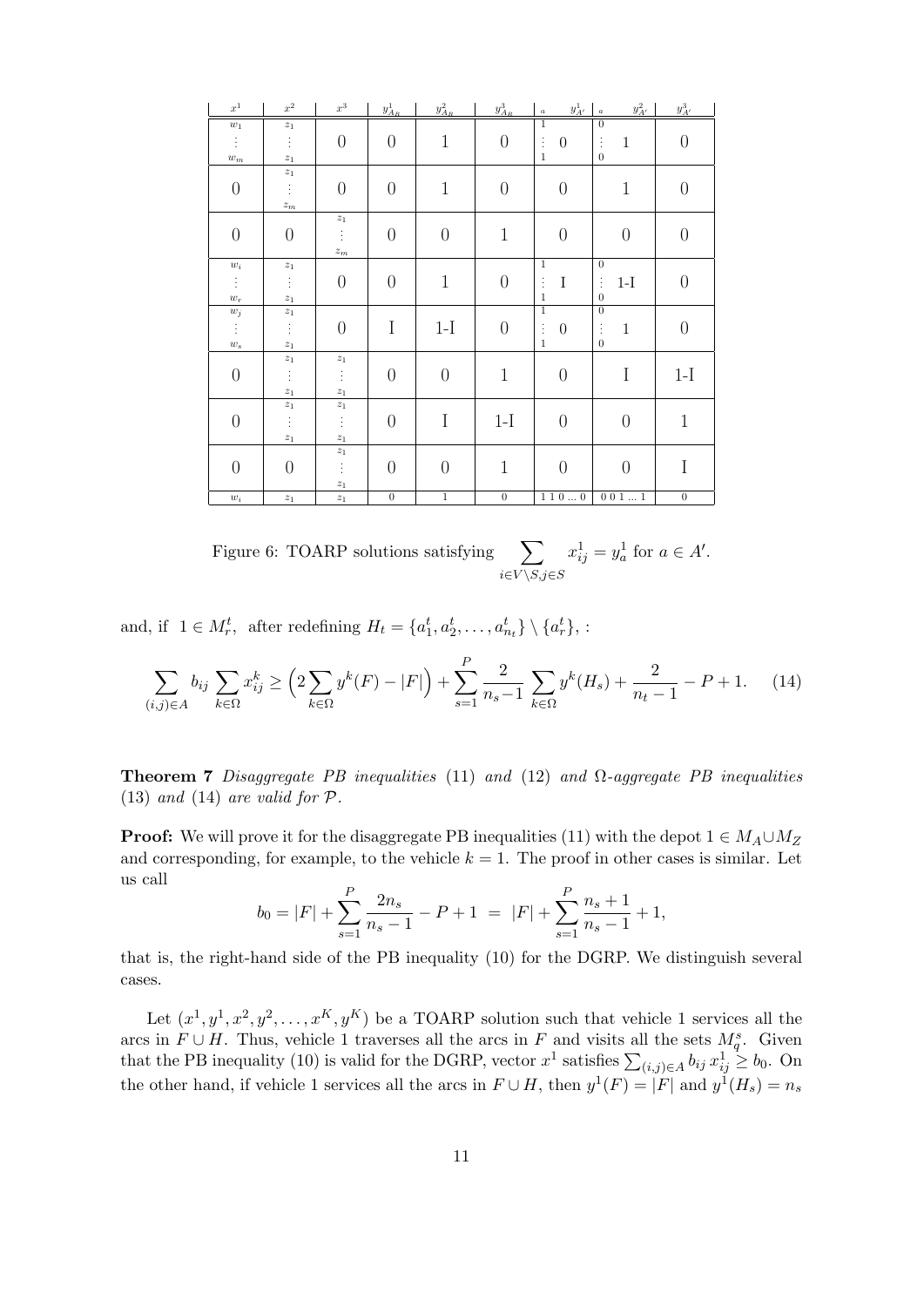| $x^1$                | $\boldsymbol{x}^2$   | $x^3\,$              | $y^1_{A_R}$    | $y^2_{A_R}$    | $y^3_{A_R}$      | $y^1_{A'}$<br>$\boldsymbol{a}$ | $y^2_{A'}$<br>$\boldsymbol{a}$ | $y_{A^\prime}^3$ |
|----------------------|----------------------|----------------------|----------------|----------------|------------------|--------------------------------|--------------------------------|------------------|
| $\boldsymbol{w}_1$   | $\mathcal{Z} _1$     |                      |                |                |                  | $\overline{1}$                 | $\overline{0}$                 |                  |
| ŧ,                   | $\vdots$             | $\theta$             | $\theta$       | $\mathbf 1$    | $\boldsymbol{0}$ | ŧ,<br>$\overline{0}$           | $\mathbf{1}$<br>÷              | $\overline{0}$   |
| $\boldsymbol{w}_{m}$ | $\boldsymbol{z}_1$   |                      |                |                |                  | $\,1\,$                        | $\overline{0}$                 |                  |
|                      | $\boldsymbol{z}_1$   |                      |                |                |                  |                                |                                |                  |
| $\overline{0}$       | ŧ,                   | $\theta$             | $\overline{0}$ | $\mathbf 1$    | $\theta$         | $\theta$                       | $\mathbf{1}$                   | $\overline{0}$   |
|                      | $\boldsymbol{z}_{m}$ |                      |                |                |                  |                                |                                |                  |
|                      |                      | $\boldsymbol{z}_1$   |                |                |                  |                                |                                |                  |
| $\boldsymbol{0}$     | $\boldsymbol{0}$     | ţ.                   | $\theta$       | $\theta$       | $\mathbf 1$      | $\overline{0}$                 | $\boldsymbol{0}$               | $\overline{0}$   |
|                      |                      | $\boldsymbol{z}_{m}$ |                |                |                  |                                |                                |                  |
| $\boldsymbol{w}_i$   | $\boldsymbol{z}_1$   |                      |                |                |                  | $\overline{1}$                 | $\overline{0}$                 |                  |
| ŧ,                   | $\vdots$             | $\theta$             | $\theta$       | $\mathbf 1$    | $\overline{0}$   | ŧ<br>$\rm I$                   | ţ<br>$1-I$                     | $\overline{0}$   |
| $\boldsymbol{w}_r$   | $\boldsymbol{z}_1$   |                      |                |                |                  | $\,1\,$                        | $\theta$                       |                  |
| $\boldsymbol{w}_j$   | $\boldsymbol{z}_1$   |                      |                |                |                  | $\overline{1}$                 | $\overline{0}$                 |                  |
| ţ,                   | $\vdots$             | $\theta$             | I              | $1-I$          | $\theta$         | ŧ<br>$\overline{0}$            | $\vdots$<br>$\mathbf{1}$       | $\overline{0}$   |
| $\boldsymbol{w}_s$   | $\boldsymbol{z}_1$   |                      |                |                |                  | $\,1\,$                        | $\overline{0}$                 |                  |
|                      | $\boldsymbol{z}_1$   | $\boldsymbol{z}_1$   |                |                |                  |                                |                                |                  |
| $\overline{0}$       | $\vdots$             | ŧ                    | $\overline{0}$ | $\overline{0}$ | $\mathbf{1}$     | $\overline{0}$                 | I                              | $1-I$            |
|                      | $\boldsymbol{z}_1$   | $\boldsymbol{z}_1$   |                |                |                  |                                |                                |                  |
|                      | $\boldsymbol{z}_1$   | $\boldsymbol{z}_1$   |                |                |                  |                                |                                |                  |
| $\boldsymbol{0}$     | $\vdots$             | ŧ                    | $\overline{0}$ | I              | $1-I$            | $\theta$                       | $\boldsymbol{0}$               | $\mathbf{1}$     |
|                      | $\mathcal{Z}_1$      | $\boldsymbol{z}_1$   |                |                |                  |                                |                                |                  |
|                      |                      | $\mathcal{Z} _1$     |                |                |                  |                                |                                |                  |
| $\overline{0}$       | $\overline{0}$       | ŧ                    | $\overline{0}$ | $\overline{0}$ | $\mathbf 1$      | $\overline{0}$                 | $\overline{0}$                 | I                |
|                      |                      | $\boldsymbol{z}_1$   |                |                |                  |                                |                                |                  |
| $\boldsymbol{w}_i$   | $\boldsymbol{z}_1$   | $\boldsymbol{z}_1$   | $\overline{0}$ | $\overline{1}$ | $\overline{0}$   | 1100                           | $0\;0\;1\;\;1$                 | $\overline{0}$   |

Figure 6: TOARP solutions satisfying  $\sum$ *i∈V \S,j∈S*  $x_{ij}^1 = y_a^1$  for  $a \in A'$ .

and, if  $1 \in M_r^t$ , after redefining  $H_t = \{a_1^t, a_2^t, \ldots, a_{n_t}^t\} \setminus \{a_r^t\}$ , :

$$
\sum_{(i,j)\in A} b_{ij} \sum_{k\in\Omega} x_{ij}^k \ge \left(2\sum_{k\in\Omega} y^k(F) - |F|\right) + \sum_{s=1}^P \frac{2}{n_s - 1} \sum_{k\in\Omega} y^k(H_s) + \frac{2}{n_t - 1} - P + 1. \tag{14}
$$

**Theorem 7** *Disaggregate PB inequalities* (11) *and* (12) *and* Ω*-aggregate PB inequalities* (13) *and* (14) *are valid for P.*

**Proof:** We will prove it for the disaggregate PB inequalities (11) with the depot  $1 \in M_A \cup M_Z$ and corresponding, for example, to the vehicle  $k = 1$ . The proof in other cases is similar. Let us call

$$
b_0 = |F| + \sum_{s=1}^{P} \frac{2n_s}{n_s - 1} - P + 1 = |F| + \sum_{s=1}^{P} \frac{n_s + 1}{n_s - 1} + 1,
$$

that is, the right-hand side of the PB inequality (10) for the DGRP. We distinguish several cases.

Let  $(x^1, y^1, x^2, y^2, \ldots, x^K, y^K)$  be a TOARP solution such that vehicle 1 services all the arcs in  $F \cup H$ . Thus, vehicle 1 traverses all the arcs in  $F$  and visits all the sets  $M_q^s$ . Given that the PB inequality (10) is valid for the DGRP, vector  $x^1$  satisfies  $\sum_{(i,j)\in A} b_{ij} x_{ij}^1 \geq b_0$ . On the other hand, if vehicle 1 services all the arcs in  $F \cup H$ , then  $y^1(F) = |F|$  and  $y^1(H_s) = n_s$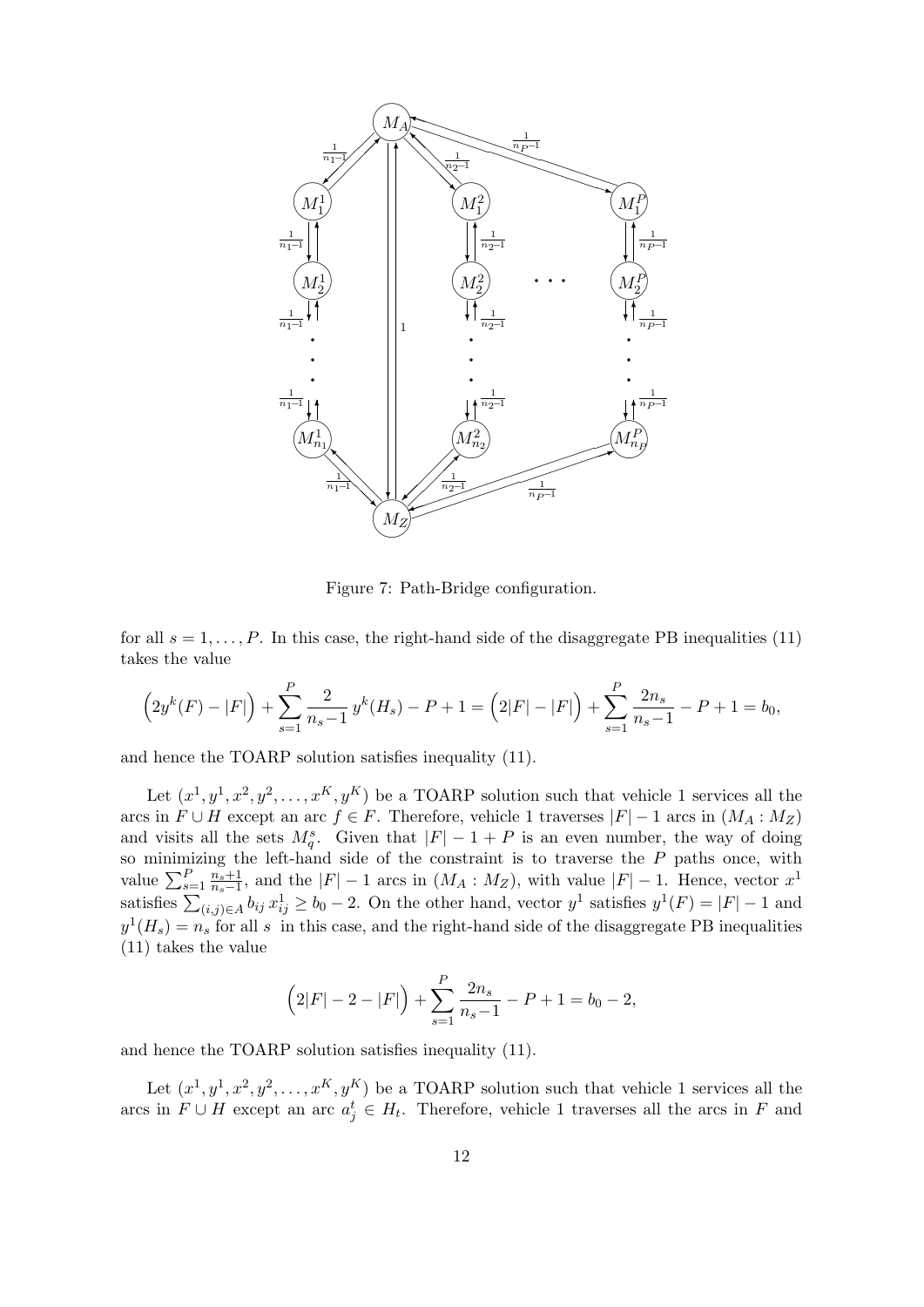

Figure 7: Path-Bridge configuration.

for all  $s = 1, \ldots, P$ . In this case, the right-hand side of the disaggregate PB inequalities (11) takes the value

$$
\left(2y^{k}(F) - |F|\right) + \sum_{s=1}^{P} \frac{2}{n_{s} - 1} y^{k}(H_{s}) - P + 1 = \left(2|F| - |F|\right) + \sum_{s=1}^{P} \frac{2n_{s}}{n_{s} - 1} - P + 1 = b_{0},
$$

and hence the TOARP solution satisfies inequality (11).

Let  $(x^1, y^1, x^2, y^2, \ldots, x^K, y^K)$  be a TOARP solution such that vehicle 1 services all the arcs in  $F \cup H$  except an arc  $f \in F$ . Therefore, vehicle 1 traverses  $|F| - 1$  arcs in  $(M_A : M_Z)$ and visits all the sets  $M_q^s$ . Given that  $|F| - 1 + P$  is an even number, the way of doing so minimizing the left-hand side of the constraint is to traverse the *P* paths once, with value  $\sum_{s=1}^{P} \frac{n_s+1}{n_s-1}$  $\frac{n_s+1}{n_s-1}$ , and the  $|F| - 1$  arcs in  $(M_A : M_Z)$ , with value  $|F| - 1$ . Hence, vector  $x^1$ satisfies  $\sum_{(i,j)\in A} b_{ij} x_{ij}^1 \ge b_0 - 2$ . On the other hand, vector  $y^1$  satisfies  $y^1(F) = |F| - 1$  and  $y^1(H_s) = n_s$  for all *s* in this case, and the right-hand side of the disaggregate PB inequalities (11) takes the value

$$
(2|F| - 2 - |F|) + \sum_{s=1}^{P} \frac{2n_s}{n_s - 1} - P + 1 = b_0 - 2,
$$

and hence the TOARP solution satisfies inequality (11).

Let  $(x^1, y^1, x^2, y^2, \ldots, x^K, y^K)$  be a TOARP solution such that vehicle 1 services all the arcs in  $F \cup H$  except an arc  $a_j^t \in H_t$ . Therefore, vehicle 1 traverses all the arcs in  $F$  and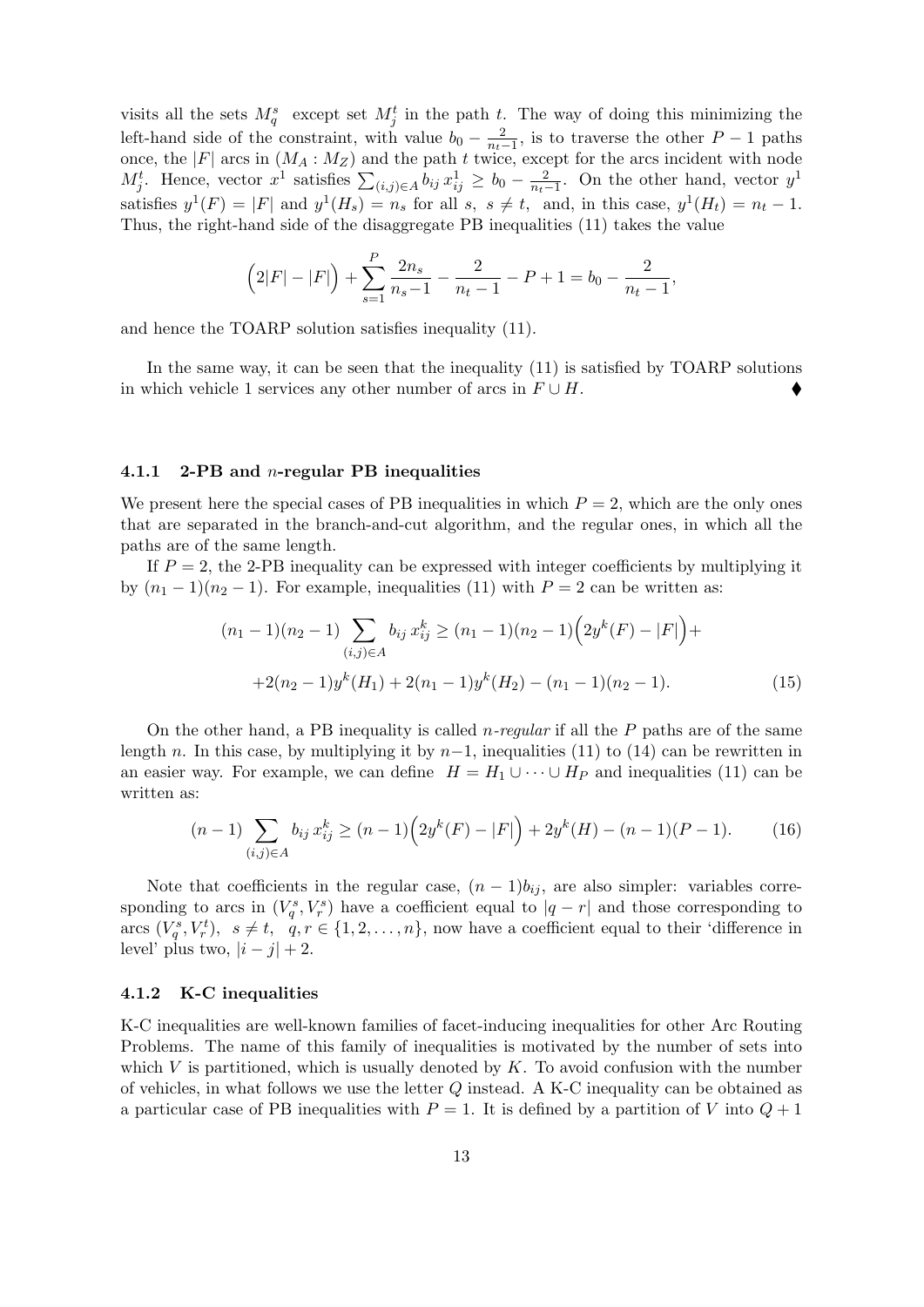visits all the sets  $M_q^s$  except set  $M_j^t$  in the path *t*. The way of doing this minimizing the left-hand side of the constraint, with value  $b_0 - \frac{2}{n_t}$  $\frac{2}{n_t-1}$ , is to traverse the other *P* − 1 paths once, the  $|F|$  arcs in  $(M_A : M_Z)$  and the path *t* twice, except for the arcs incident with node *M*<sup>t</sup><sub>*j*</sub>. Hence, vector *x*<sup>1</sup> satisfies  $\sum_{(i,j)\in A} b_{ij} x_{ij}^1 ≥ b_0 - \frac{2}{n_t}$  $\frac{2}{n_t-1}$ . On the other hand, vector  $y^1$ satisfies  $y^1(F) = |F|$  and  $y^1(H_s) = n_s$  for all  $s, s \neq t$ , and, in this case,  $y^1(H_t) = n_t - 1$ . Thus, the right-hand side of the disaggregate PB inequalities (11) takes the value

$$
(2|F|-|F|) + \sum_{s=1}^{P} \frac{2n_s}{n_s-1} - \frac{2}{n_t-1} - P + 1 = b_0 - \frac{2}{n_t-1},
$$

and hence the TOARP solution satisfies inequality (11).

In the same way, it can be seen that the inequality (11) is satisfied by TOARP solutions in which vehicle 1 services any other number of arcs in  $F \cup H$ .

## **4.1.1 2-PB and** *n***-regular PB inequalities**

We present here the special cases of PB inequalities in which  $P = 2$ , which are the only ones that are separated in the branch-and-cut algorithm, and the regular ones, in which all the paths are of the same length.

If  $P = 2$ , the 2-PB inequality can be expressed with integer coefficients by multiplying it by  $(n_1 - 1)(n_2 - 1)$ . For example, inequalities (11) with  $P = 2$  can be written as:

$$
(n_1 - 1)(n_2 - 1) \sum_{(i,j)\in A} b_{ij} x_{ij}^k \ge (n_1 - 1)(n_2 - 1) \left( 2y^k(F) - |F| \right) +
$$
  
+2(n\_2 - 1)y^k(H\_1) + 2(n\_1 - 1)y^k(H\_2) - (n\_1 - 1)(n\_2 - 1). (15)

On the other hand, a PB inequality is called *n-regular* if all the *P* paths are of the same length *n*. In this case, by multiplying it by  $n-1$ , inequalities (11) to (14) can be rewritten in an easier way. For example, we can define  $H = H_1 \cup \cdots \cup H_p$  and inequalities (11) can be written as:

$$
(n-1)\sum_{(i,j)\in A} b_{ij} x_{ij}^k \ge (n-1)\left(2y^k(F) - |F|\right) + 2y^k(H) - (n-1)(P-1). \tag{16}
$$

Note that coefficients in the regular case,  $(n-1)b_{ij}$ , are also simpler: variables corresponding to arcs in  $(V_q^s, V_r^s)$  have a coefficient equal to  $|q-r|$  and those corresponding to arcs  $(V_q^s, V_r^t)$ ,  $s \neq t$ ,  $q, r \in \{1, 2, ..., n\}$ , now have a coefficient equal to their 'difference in level' plus two,  $|i - j| + 2$ .

### **4.1.2 K-C inequalities**

K-C inequalities are well-known families of facet-inducing inequalities for other Arc Routing Problems. The name of this family of inequalities is motivated by the number of sets into which *V* is partitioned, which is usually denoted by *K*. To avoid confusion with the number of vehicles, in what follows we use the letter *Q* instead. A K-C inequality can be obtained as a particular case of PB inequalities with  $P = 1$ . It is defined by a partition of *V* into  $Q + 1$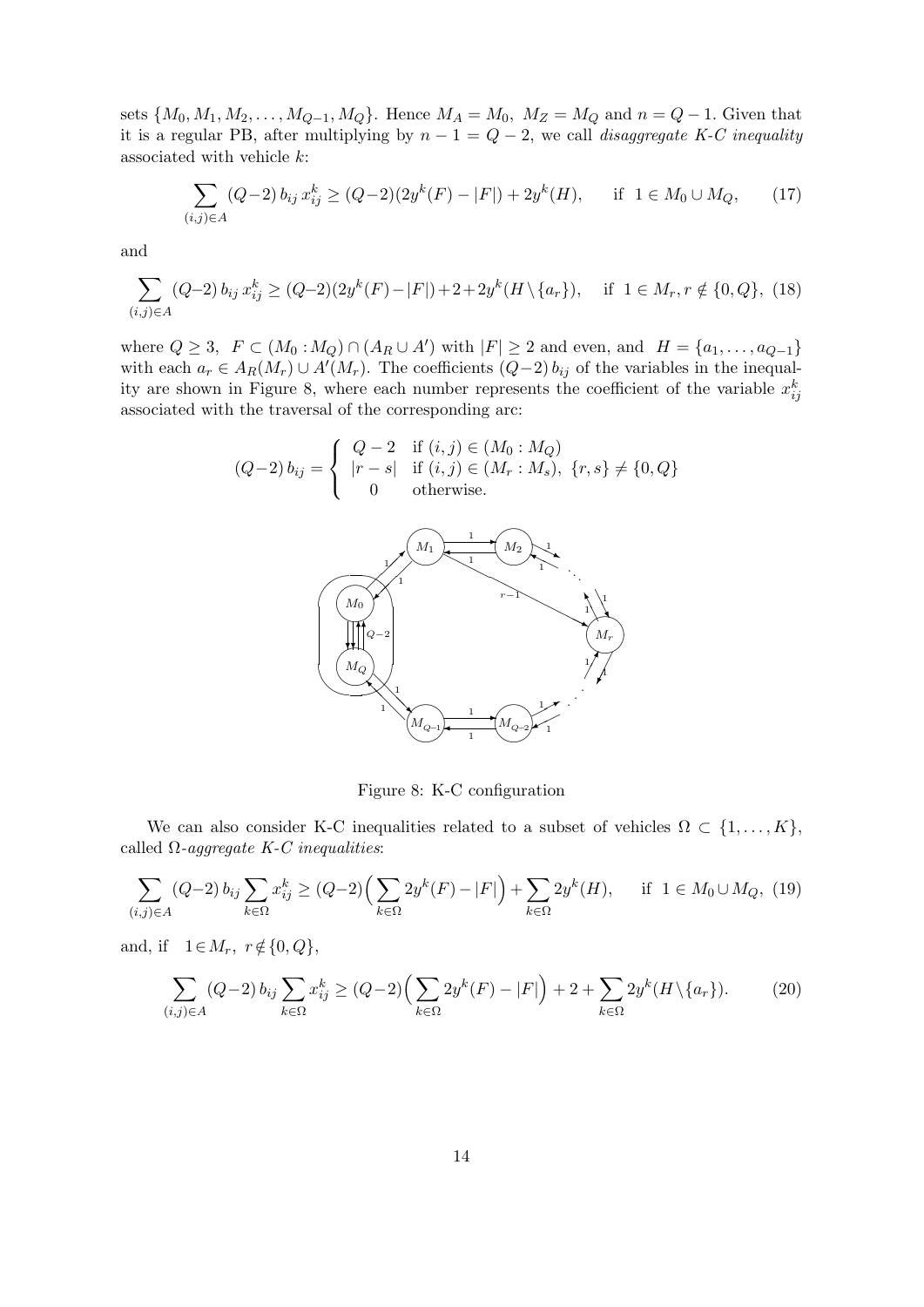sets  $\{M_0, M_1, M_2, \ldots, M_{Q-1}, M_Q\}$ . Hence  $M_A = M_0$ ,  $M_Z = M_Q$  and  $n = Q - 1$ . Given that it is a regular PB, after multiplying by  $n-1 = Q-2$ , we call *disaggregate K-C inequality* associated with vehicle *k*:

$$
\sum_{(i,j)\in A} (Q-2) b_{ij} x_{ij}^k \ge (Q-2)(2y^k(F) - |F|) + 2y^k(H), \quad \text{if } 1 \in M_0 \cup M_Q, \tag{17}
$$

and

$$
\sum_{(i,j)\in A} (Q-2) b_{ij} x_{ij}^k \ge (Q-2)(2y^k(F) - |F|) + 2 + 2y^k(H \setminus \{a_r\}), \quad \text{if } 1 \in M_r, r \notin \{0, Q\}, \tag{18}
$$

where  $Q \ge 3$ ,  $F \subset (M_0 : M_Q) \cap (A_R \cup A')$  with  $|F| \ge 2$  and even, and  $H = \{a_1, \ldots, a_{Q-1}\}\$ with each  $a_r \in A_R(M_r) \cup A'(M_r)$ . The coefficients  $(Q-2) b_{ij}$  of the variables in the inequality are shown in Figure 8, where each number represents the coefficient of the variable  $x_{ij}^k$ associated with the traversal of the corresponding arc:

$$
(Q-2) b_{ij} = \begin{cases} Q-2 & \text{if } (i,j) \in (M_0 : M_Q) \\ |r-s| & \text{if } (i,j) \in (M_r : M_s), \\ 0 & \text{otherwise.} \end{cases} \quad \{r, s\} \neq \{0, Q\}
$$



Figure 8: K-C configuration

We can also consider K-C inequalities related to a subset of vehicles  $\Omega \subset \{1, \ldots, K\}$ , called Ω*-aggregate K-C inequalities*:

$$
\sum_{(i,j)\in A} (Q-2) b_{ij} \sum_{k\in\Omega} x_{ij}^k \ge (Q-2) \Big(\sum_{k\in\Omega} 2y^k(F) - |F|\Big) + \sum_{k\in\Omega} 2y^k(H), \quad \text{if } 1 \in M_0 \cup M_Q, (19)
$$

and, if  $1 \in M_r$ ,  $r \notin \{0, Q\}$ ,

$$
\sum_{(i,j)\in A} (Q-2) b_{ij} \sum_{k\in\Omega} x_{ij}^k \ge (Q-2) \Big( \sum_{k\in\Omega} 2y^k(F) - |F| \Big) + 2 + \sum_{k\in\Omega} 2y^k(H \setminus \{a_r\}).\tag{20}
$$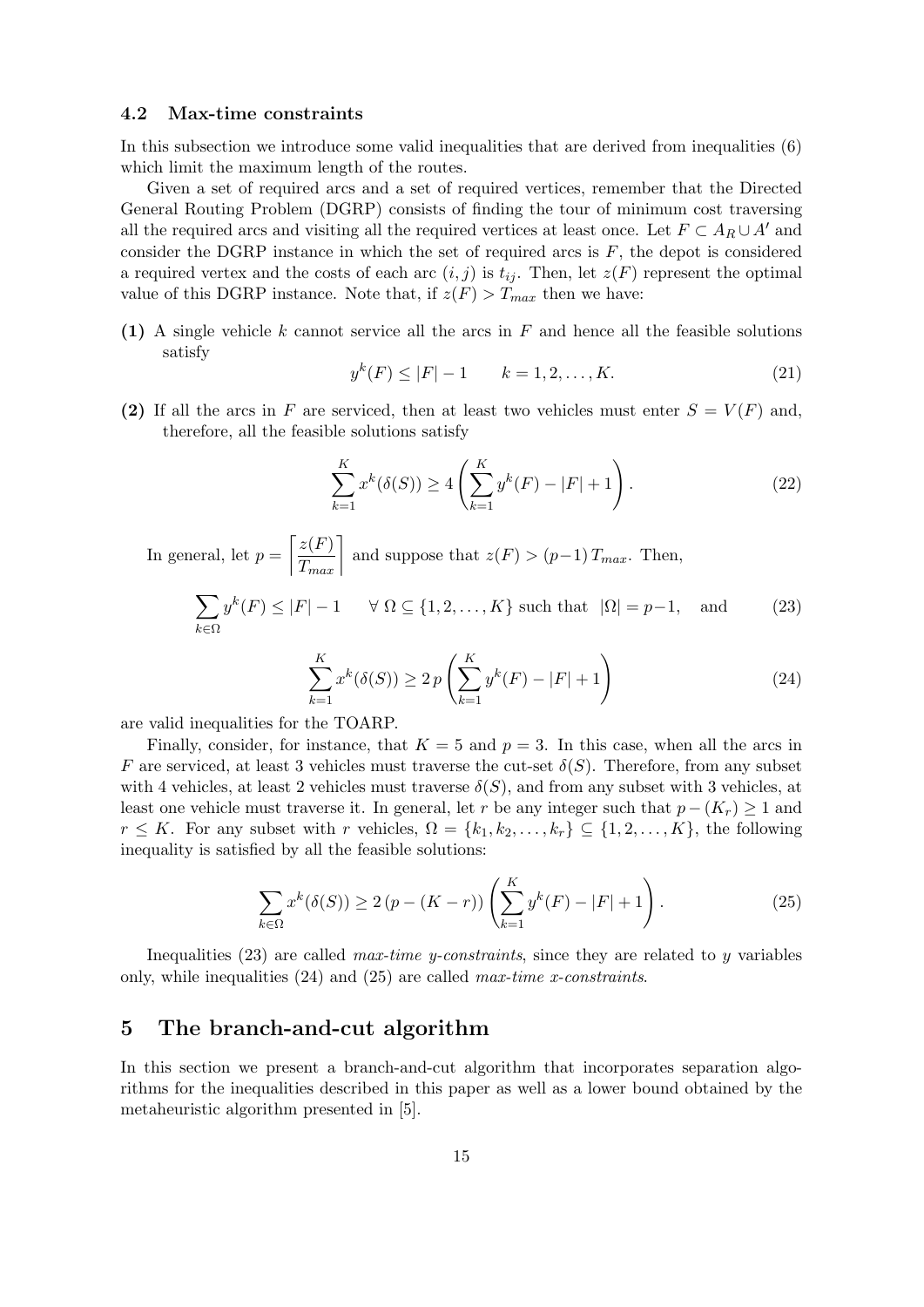# **4.2 Max-time constraints**

In this subsection we introduce some valid inequalities that are derived from inequalities (6) which limit the maximum length of the routes.

Given a set of required arcs and a set of required vertices, remember that the Directed General Routing Problem (DGRP) consists of finding the tour of minimum cost traversing all the required arcs and visiting all the required vertices at least once. Let  $F \subset A_R \cup A'$  and consider the DGRP instance in which the set of required arcs is  $F$ , the depot is considered a required vertex and the costs of each arc  $(i, j)$  is  $t_{ij}$ . Then, let  $z(F)$  represent the optimal value of this DGRP instance. Note that, if  $z(F) > T_{max}$  then we have:

**(1)** A single vehicle *k* cannot service all the arcs in *F* and hence all the feasible solutions satisfy

$$
y^{k}(F) \le |F| - 1 \qquad k = 1, 2, \dots, K. \tag{21}
$$

**(2)** If all the arcs in *F* are serviced, then at least two vehicles must enter  $S = V(F)$  and, therefore, all the feasible solutions satisfy

$$
\sum_{k=1}^{K} x^{k}(\delta(S)) \ge 4\left(\sum_{k=1}^{K} y^{k}(F) - |F| + 1\right).
$$
\n(22)

In general, let  $p =$  $\left\lceil \frac{z(F)}{T_{max}} \right\rceil$  and suppose that  $z(F) > (p-1) T_{max}$ . Then, ∑  $y^{k}(F) \leq |F| - 1$  *∀*  $\Omega \subseteq \{1, 2, ..., K\}$  such that  $|\Omega| = p - 1$ , and (23)

$$
\sum_{k \in \Omega} y^{\kappa}(F) \le |F| - 1 \quad \forall \ \Omega \subseteq \{1, 2, \dots, K\} \text{ such that } |\Omega| = p - 1, \text{ and } (23)
$$

$$
\sum_{k=1}^{K} x^{k} (\delta(S)) \ge 2p \left( \sum_{k=1}^{K} y^{k}(F) - |F| + 1 \right)
$$
\n(24)

are valid inequalities for the TOARP.

Finally, consider, for instance, that  $K = 5$  and  $p = 3$ . In this case, when all the arcs in *F* are serviced, at least 3 vehicles must traverse the cut-set  $\delta(S)$ . Therefore, from any subset with 4 vehicles, at least 2 vehicles must traverse  $\delta(S)$ , and from any subset with 3 vehicles, at least one vehicle must traverse it. In general, let *r* be any integer such that  $p - (K_r) \geq 1$  and *r* ≤ *K*. For any subset with *r* vehicles,  $\Omega = \{k_1, k_2, \ldots, k_r\}$  ⊆  $\{1, 2, \ldots, K\}$ , the following inequality is satisfied by all the feasible solutions:

$$
\sum_{k \in \Omega} x^k(\delta(S)) \ge 2(p - (K - r)) \left( \sum_{k=1}^K y^k(F) - |F| + 1 \right). \tag{25}
$$

Inequalities (23) are called *max-time y-constraints*, since they are related to *y* variables only, while inequalities (24) and (25) are called *max-time x-constraints*.

# **5 The branch-and-cut algorithm**

In this section we present a branch-and-cut algorithm that incorporates separation algorithms for the inequalities described in this paper as well as a lower bound obtained by the metaheuristic algorithm presented in [5].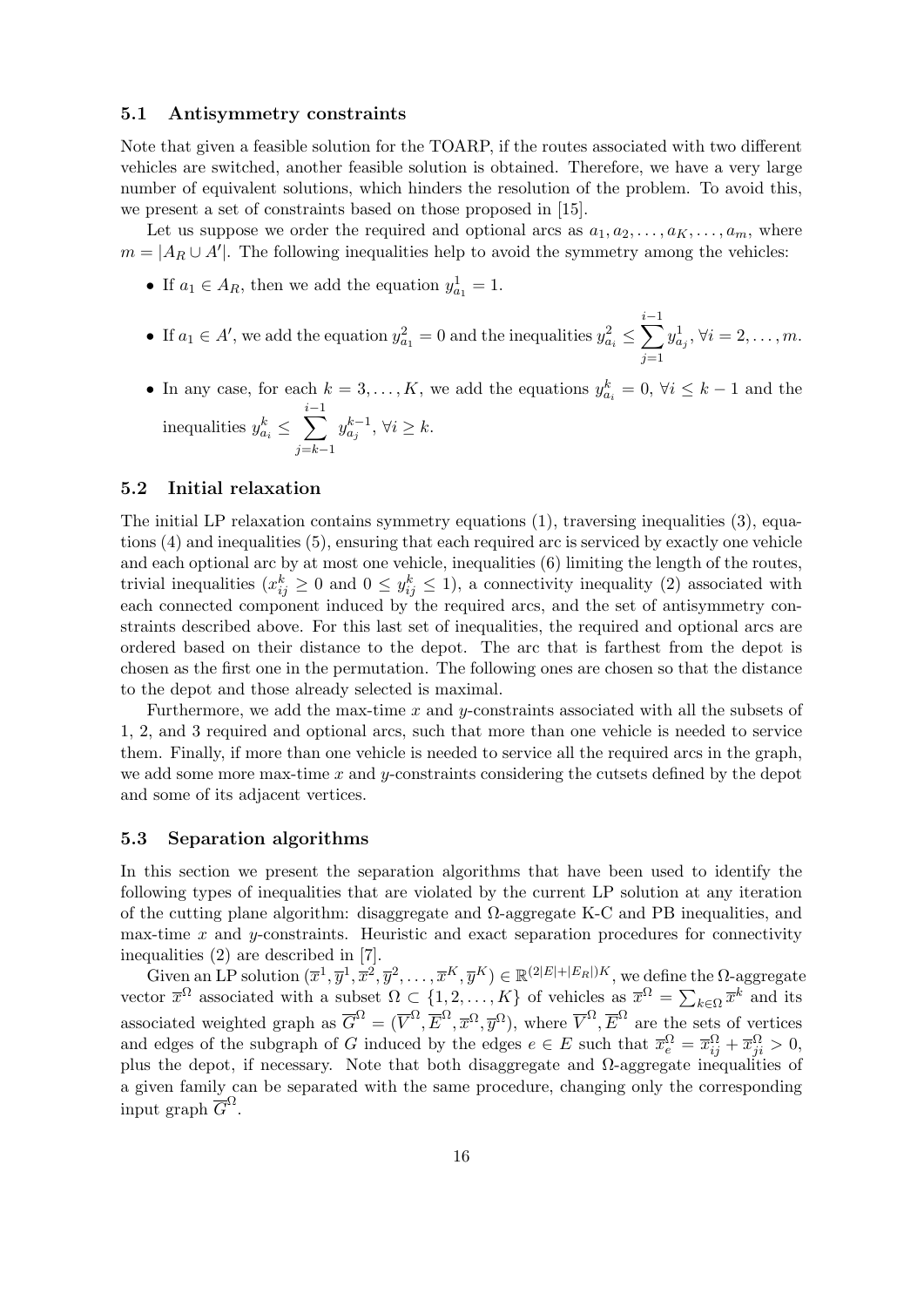## **5.1 Antisymmetry constraints**

Note that given a feasible solution for the TOARP, if the routes associated with two different vehicles are switched, another feasible solution is obtained. Therefore, we have a very large number of equivalent solutions, which hinders the resolution of the problem. To avoid this, we present a set of constraints based on those proposed in [15].

Let us suppose we order the required and optional arcs as  $a_1, a_2, \ldots, a_K, \ldots, a_m$ , where  $m = |A_R \cup A'|$ . The following inequalities help to avoid the symmetry among the vehicles:

- If  $a_1 \in A_R$ , then we add the equation  $y_{a_1}^1 = 1$ .
- If  $a_1 \in A'$ , we add the equation  $y_{a_1}^2 = 0$  and the inequalities  $y_{a_i}^2 \le \sum_{i=1}^{i-1}$ *j*=1  $y_{a_j}^1, \forall i = 2, \dots, m.$
- In any case, for each  $k = 3, \ldots, K$ , we add the equations  $y_{a_i}^k = 0$ ,  $\forall i \leq k 1$  and the  $\text{inequalities } y_{a_i}^k \leq \sum_{i=1}^{i-1}$ *j*=*k−*1 *y*<sup>*k*−1</sup>,  $\forall i \geq k$ .

# **5.2 Initial relaxation**

The initial LP relaxation contains symmetry equations (1), traversing inequalities (3), equations (4) and inequalities (5), ensuring that each required arc is serviced by exactly one vehicle and each optional arc by at most one vehicle, inequalities (6) limiting the length of the routes, trivial inequalities  $(x_{ij}^k \geq 0 \text{ and } 0 \leq y_{ij}^k \leq 1)$ , a connectivity inequality (2) associated with each connected component induced by the required arcs, and the set of antisymmetry constraints described above. For this last set of inequalities, the required and optional arcs are ordered based on their distance to the depot. The arc that is farthest from the depot is chosen as the first one in the permutation. The following ones are chosen so that the distance to the depot and those already selected is maximal.

Furthermore, we add the max-time *x* and *y*-constraints associated with all the subsets of 1, 2, and 3 required and optional arcs, such that more than one vehicle is needed to service them. Finally, if more than one vehicle is needed to service all the required arcs in the graph, we add some more max-time *x* and *y*-constraints considering the cutsets defined by the depot and some of its adjacent vertices.

## **5.3 Separation algorithms**

In this section we present the separation algorithms that have been used to identify the following types of inequalities that are violated by the current LP solution at any iteration of the cutting plane algorithm: disaggregate and Ω-aggregate K-C and PB inequalities, and max-time *x* and *y*-constraints. Heuristic and exact separation procedures for connectivity inequalities (2) are described in [7].

Given an LP solution  $(\overline{x}^1, \overline{y}^1, \overline{x}^2, \overline{y}^2, \ldots, \overline{x}^K, \overline{y}^K) \in \mathbb{R}^{(2|E|+|E_R|)K}$ , we define the  $\Omega$ -aggregate vector  $\bar{x}^{\Omega}$  associated with a subset  $\Omega \subset \{1, 2, ..., K\}$  of vehicles as  $\bar{x}^{\Omega} = \sum_{k \in \Omega} \bar{x}^k$  and its associated weighted graph as  $\overline{G}^{\Omega} = (\overline{V}^{\Omega}, \overline{E}^{\Omega}, \overline{x}^{\Omega}, \overline{y}^{\Omega})$ , where  $\overline{V}^{\Omega}, \overline{E}^{\Omega}$  are the sets of vertices and edges of the subgraph of *G* induced by the edges  $e \in E$  such that  $\overline{x}_e^{\Omega} = \overline{x}_{ij}^{\Omega} + \overline{x}_{ji}^{\Omega} > 0$ , plus the depot, if necessary. Note that both disaggregate and  $\Omega$ -aggregate inequalities of a given family can be separated with the same procedure, changing only the corresponding input graph  $\overline{G}^{\Omega}$ .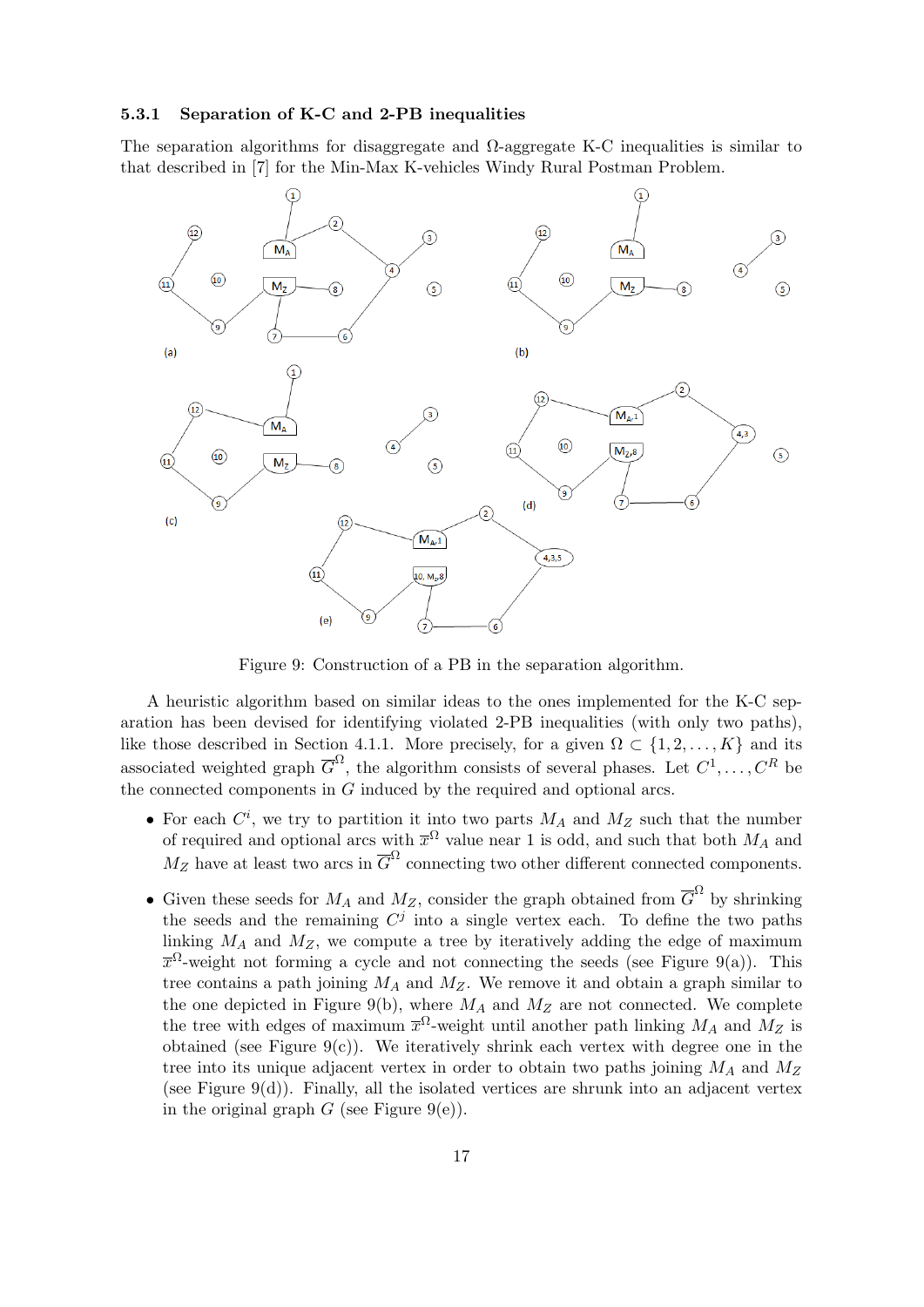## **5.3.1 Separation of K-C and 2-PB inequalities**

The separation algorithms for disaggregate and  $\Omega$ -aggregate K-C inequalities is similar to that described in [7] for the Min-Max K-vehicles Windy Rural Postman Problem.



Figure 9: Construction of a PB in the separation algorithm.

A heuristic algorithm based on similar ideas to the ones implemented for the K-C separation has been devised for identifying violated 2-PB inequalities (with only two paths), like those described in Section 4.1.1. More precisely, for a given  $\Omega \subset \{1, 2, \ldots, K\}$  and its associated weighted graph  $\overline{G}^{\Omega}$ , the algorithm consists of several phases. Let  $C^1, \ldots, C^R$  be the connected components in *G* induced by the required and optional arcs.

- For each  $C^i$ , we try to partition it into two parts  $M_A$  and  $M_Z$  such that the number of required and optional arcs with  $\bar{x}^{\Omega}$  value near 1 is odd, and such that both  $M_A$  and  $M_Z$  have at least two arcs in  $\overline{G}^{\Omega}$  connecting two other different connected components.
- Given these seeds for  $M_A$  and  $M_Z$ , consider the graph obtained from  $\overline{G}^{\Omega}$  by shrinking the seeds and the remaining  $C^j$  into a single vertex each. To define the two paths linking  $M_A$  and  $M_Z$ , we compute a tree by iteratively adding the edge of maximum  $\bar{x}^{\Omega}$ -weight not forming a cycle and not connecting the seeds (see Figure 9(a)). This tree contains a path joining *M<sup>A</sup>* and *MZ*. We remove it and obtain a graph similar to the one depicted in Figure 9(b), where  $M_A$  and  $M_Z$  are not connected. We complete the tree with edges of maximum  $\bar{x}^{\Omega}$ -weight until another path linking  $M_A$  and  $M_Z$  is obtained (see Figure  $9(c)$ ). We iteratively shrink each vertex with degree one in the tree into its unique adjacent vertex in order to obtain two paths joining *M<sup>A</sup>* and *M<sup>Z</sup>* (see Figure  $9(d)$ ). Finally, all the isolated vertices are shrunk into an adjacent vertex in the original graph  $G$  (see Figure 9(e)).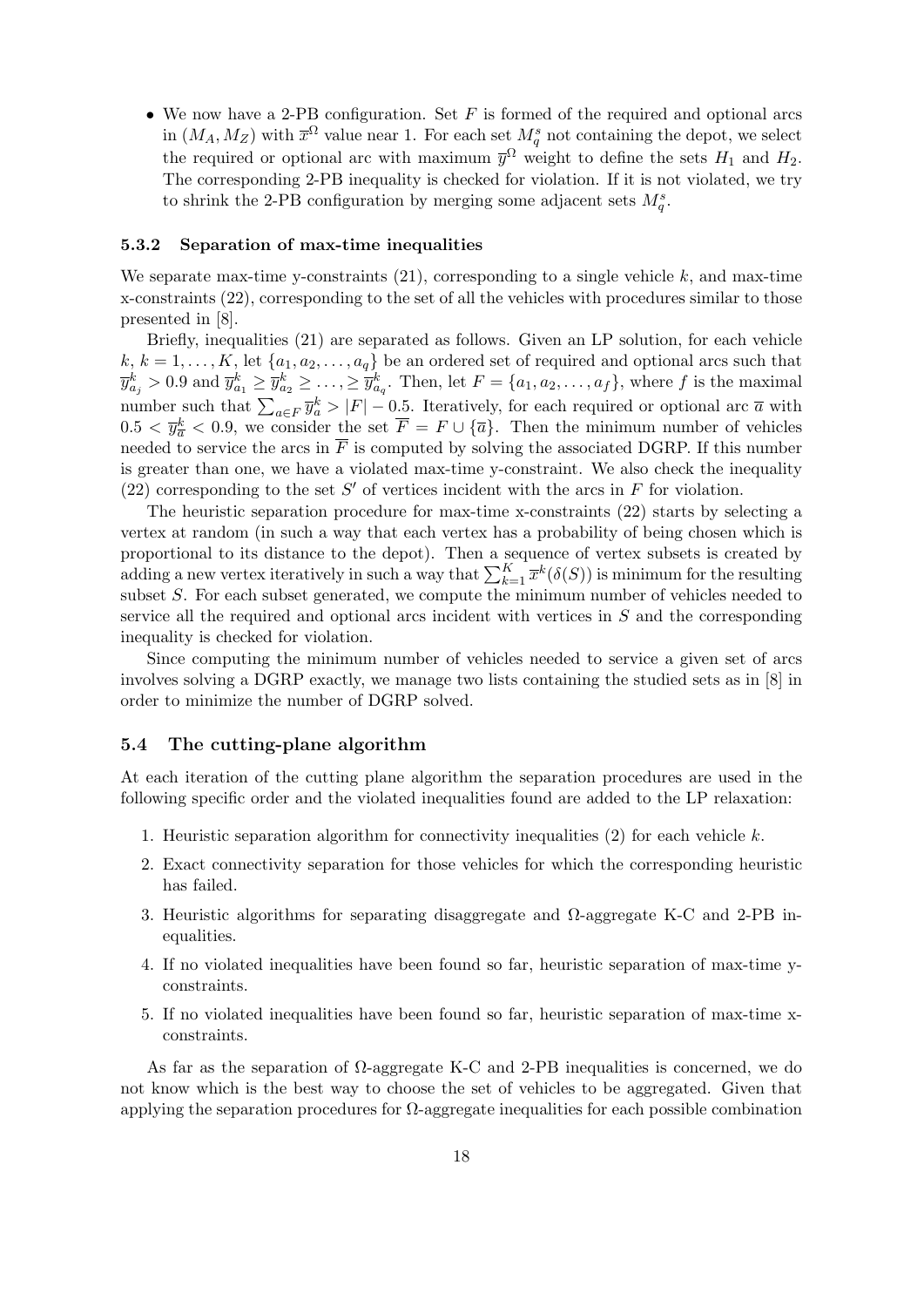• We now have a 2-PB configuration. Set *F* is formed of the required and optional arcs in  $(M_A, M_Z)$  with  $\overline{x}^{\Omega}$  value near 1. For each set  $M_q^s$  not containing the depot, we select the required or optional arc with maximum  $\bar{y}^{\Omega}$  weight to define the sets  $H_1$  and  $H_2$ . The corresponding 2-PB inequality is checked for violation. If it is not violated, we try to shrink the 2-PB configuration by merging some adjacent sets  $M_q^s$ .

#### **5.3.2 Separation of max-time inequalities**

We separate max-time y-constraints  $(21)$ , corresponding to a single vehicle  $k$ , and max-time x-constraints (22), corresponding to the set of all the vehicles with procedures similar to those presented in [8].

Briefly, inequalities (21) are separated as follows. Given an LP solution, for each vehicle  $k, k = 1, \ldots, K$ , let  $\{a_1, a_2, \ldots, a_q\}$  be an ordered set of required and optional arcs such that  $\overline{y}_{a_j}^k > 0.9$  and  $\overline{y}_{a_1}^k \ge \overline{y}_{a_2}^k \ge \ldots, \ge \overline{y}_{a_q}^k$ . Then, let  $F = \{a_1, a_2, \ldots, a_f\}$ , where f is the maximal number such that  $\sum_{a \in F} \overline{y}_a^k > |F| - 0.5$ . Iteratively, for each required or optional arc  $\overline{a}$  with  $0.5 < \bar{y}^k_{\bar{a}} < 0.9$ , we consider the set  $\bar{F} = F \cup {\bar{a}}$ . Then the minimum number of vehicles needed to service the arcs in  $\overline{F}$  is computed by solving the associated DGRP. If this number is greater than one, we have a violated max-time y-constraint. We also check the inequality (22) corresponding to the set  $S'$  of vertices incident with the arcs in  $F$  for violation.

The heuristic separation procedure for max-time x-constraints (22) starts by selecting a vertex at random (in such a way that each vertex has a probability of being chosen which is proportional to its distance to the depot). Then a sequence of vertex subsets is created by adding a new vertex iteratively in such a way that  $\sum_{k=1}^{K} \overline{x}^k(\delta(S))$  is minimum for the resulting subset *S*. For each subset generated, we compute the minimum number of vehicles needed to service all the required and optional arcs incident with vertices in *S* and the corresponding inequality is checked for violation.

Since computing the minimum number of vehicles needed to service a given set of arcs involves solving a DGRP exactly, we manage two lists containing the studied sets as in [8] in order to minimize the number of DGRP solved.

## **5.4 The cutting-plane algorithm**

At each iteration of the cutting plane algorithm the separation procedures are used in the following specific order and the violated inequalities found are added to the LP relaxation:

- 1. Heuristic separation algorithm for connectivity inequalities (2) for each vehicle *k*.
- 2. Exact connectivity separation for those vehicles for which the corresponding heuristic has failed.
- 3. Heuristic algorithms for separating disaggregate and Ω-aggregate K-C and 2-PB inequalities.
- 4. If no violated inequalities have been found so far, heuristic separation of max-time yconstraints.
- 5. If no violated inequalities have been found so far, heuristic separation of max-time xconstraints.

As far as the separation of  $\Omega$ -aggregate K-C and 2-PB inequalities is concerned, we do not know which is the best way to choose the set of vehicles to be aggregated. Given that applying the separation procedures for Ω-aggregate inequalities for each possible combination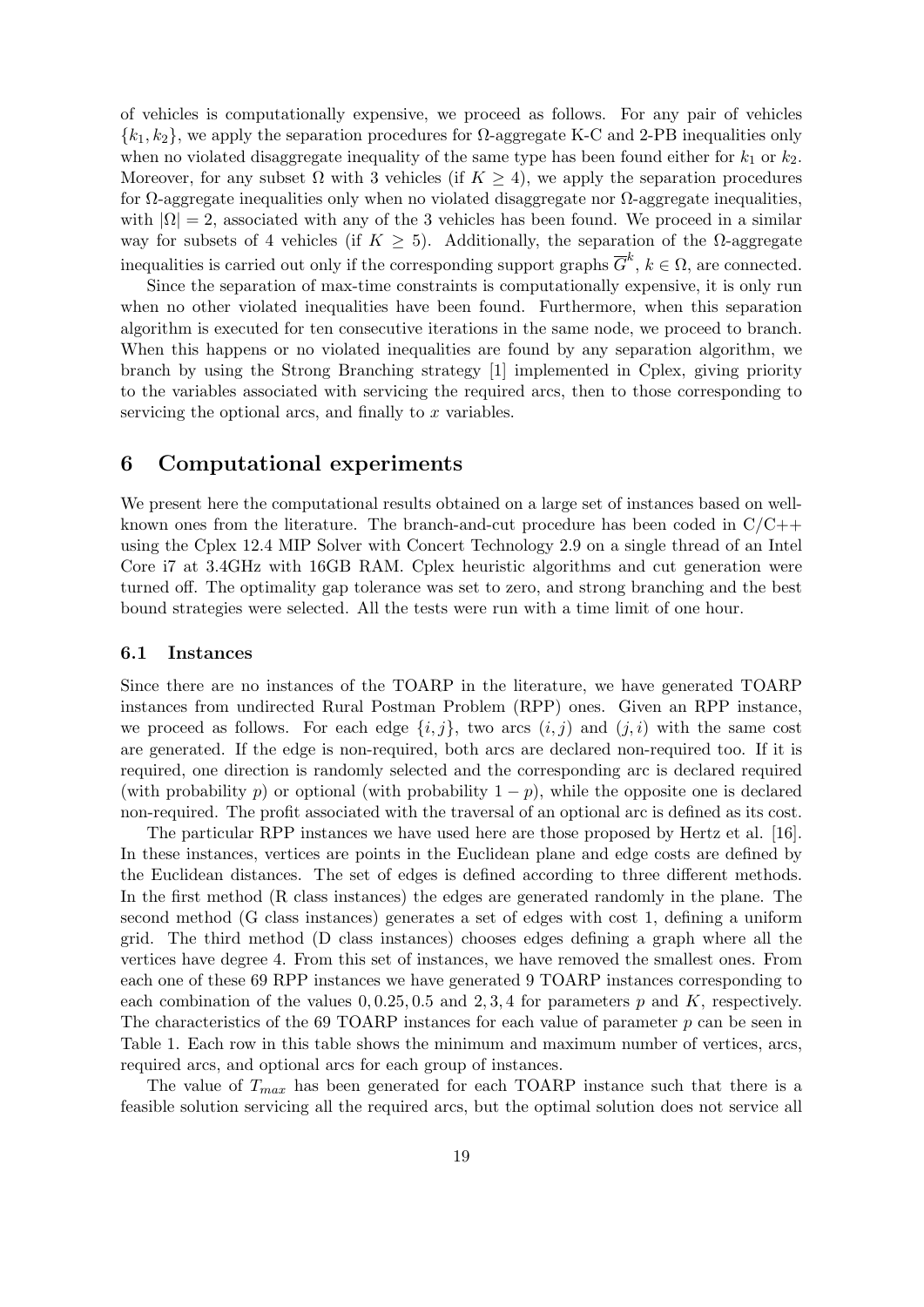of vehicles is computationally expensive, we proceed as follows. For any pair of vehicles  $\{k_1, k_2\}$ , we apply the separation procedures for  $\Omega$ -aggregate K-C and 2-PB inequalities only when no violated disaggregate inequality of the same type has been found either for  $k_1$  or  $k_2$ . Moreover, for any subset  $\Omega$  with 3 vehicles (if  $K \geq 4$ ), we apply the separation procedures for  $\Omega$ -aggregate inequalities only when no violated disaggregate nor  $\Omega$ -aggregate inequalities. with  $|\Omega| = 2$ , associated with any of the 3 vehicles has been found. We proceed in a similar way for subsets of 4 vehicles (if  $K \geq 5$ ). Additionally, the separation of the  $\Omega$ -aggregate inequalities is carried out only if the corresponding support graphs  $\overline{G}^k$ ,  $k \in \Omega$ , are connected.

Since the separation of max-time constraints is computationally expensive, it is only run when no other violated inequalities have been found. Furthermore, when this separation algorithm is executed for ten consecutive iterations in the same node, we proceed to branch. When this happens or no violated inequalities are found by any separation algorithm, we branch by using the Strong Branching strategy [1] implemented in Cplex, giving priority to the variables associated with servicing the required arcs, then to those corresponding to servicing the optional arcs, and finally to *x* variables.

# **6 Computational experiments**

We present here the computational results obtained on a large set of instances based on wellknown ones from the literature. The branch-and-cut procedure has been coded in  $C/C++$ using the Cplex 12.4 MIP Solver with Concert Technology 2.9 on a single thread of an Intel Core i7 at 3.4GHz with 16GB RAM. Cplex heuristic algorithms and cut generation were turned off. The optimality gap tolerance was set to zero, and strong branching and the best bound strategies were selected. All the tests were run with a time limit of one hour.

## **6.1 Instances**

Since there are no instances of the TOARP in the literature, we have generated TOARP instances from undirected Rural Postman Problem (RPP) ones. Given an RPP instance, we proceed as follows. For each edge  $\{i, j\}$ , two arcs  $(i, j)$  and  $(j, i)$  with the same cost are generated. If the edge is non-required, both arcs are declared non-required too. If it is required, one direction is randomly selected and the corresponding arc is declared required (with probability *p*) or optional (with probability  $1 - p$ ), while the opposite one is declared non-required. The profit associated with the traversal of an optional arc is defined as its cost.

The particular RPP instances we have used here are those proposed by Hertz et al. [16]. In these instances, vertices are points in the Euclidean plane and edge costs are defined by the Euclidean distances. The set of edges is defined according to three different methods. In the first method (R class instances) the edges are generated randomly in the plane. The second method (G class instances) generates a set of edges with cost 1, defining a uniform grid. The third method (D class instances) chooses edges defining a graph where all the vertices have degree 4. From this set of instances, we have removed the smallest ones. From each one of these 69 RPP instances we have generated 9 TOARP instances corresponding to each combination of the values  $0, 0.25, 0.5$  and  $2, 3, 4$  for parameters  $p$  and  $K$ , respectively. The characteristics of the 69 TOARP instances for each value of parameter *p* can be seen in Table 1. Each row in this table shows the minimum and maximum number of vertices, arcs, required arcs, and optional arcs for each group of instances.

The value of *Tmax* has been generated for each TOARP instance such that there is a feasible solution servicing all the required arcs, but the optimal solution does not service all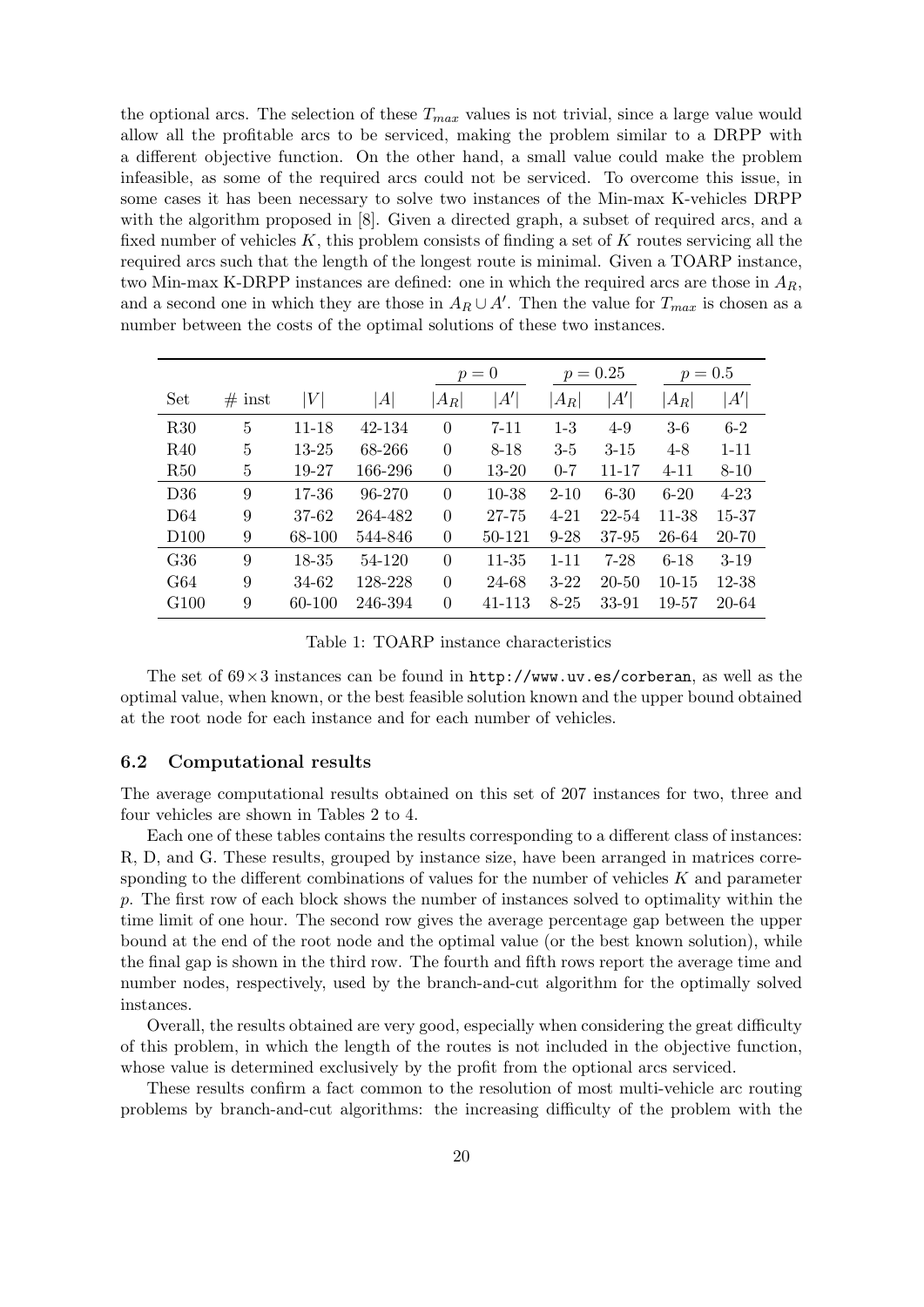the optional arcs. The selection of these  $T_{max}$  values is not trivial, since a large value would allow all the profitable arcs to be serviced, making the problem similar to a DRPP with a different objective function. On the other hand, a small value could make the problem infeasible, as some of the required arcs could not be serviced. To overcome this issue, in some cases it has been necessary to solve two instances of the Min-max K-vehicles DRPP with the algorithm proposed in  $[8]$ . Given a directed graph, a subset of required arcs, and a fixed number of vehicles *K*, this problem consists of finding a set of *K* routes servicing all the required arcs such that the length of the longest route is minimal. Given a TOARP instance, two Min-max K-DRPP instances are defined: one in which the required arcs are those in *AR*, and a second one in which they are those in  $A_R \cup A'$ . Then the value for  $T_{max}$  is chosen as a number between the costs of the optimal solutions of these two instances.

|                  |          |                  |         | $p=0$          |              | $p = 0.25$ |           |           | $p = 0.5$ |
|------------------|----------|------------------|---------|----------------|--------------|------------|-----------|-----------|-----------|
| Set              | $#$ inst | $\left V\right $ | A       | $ A_R $        | $A^{\prime}$ | $ A_R $    | A'        | $ A_R $   | A'        |
| R30              | 5        | $11 - 18$        | 42-134  | $\overline{0}$ | $7 - 11$     | $1 - 3$    | $4 - 9$   | $3-6$     | $6-2$     |
| R40              | 5        | $13 - 25$        | 68-266  | $\Omega$       | $8 - 18$     | $3 - 5$    | $3-15$    | $4 - 8$   | $1 - 11$  |
| R50              | 5        | 19-27            | 166-296 | $\overline{0}$ | 13-20        | $0 - 7$    | 11-17     | $4 - 11$  | $8 - 10$  |
| D36              | 9        | 17-36            | 96-270  | $\overline{0}$ | 10-38        | $2 - 10$   | $6 - 30$  | $6-20$    | $4 - 23$  |
| D <sub>64</sub>  | 9        | 37-62            | 264-482 | $\overline{0}$ | 27-75        | $4 - 21$   | 22-54     | 11-38     | 15-37     |
| D <sub>100</sub> | 9        | 68-100           | 544-846 | $\overline{0}$ | 50-121       | $9 - 28$   | 37-95     | 26-64     | 20-70     |
| G36              | 9        | 18-35            | 54-120  | $\theta$       | 11-35        | $1 - 11$   | $7-28$    | $6-18$    | $3-19$    |
| G64              | 9        | 34-62            | 128-228 | $\theta$       | 24-68        | $3-22$     | $20 - 50$ | $10 - 15$ | 12-38     |
| G <sub>100</sub> | 9        | 60-100           | 246-394 | $\theta$       | 41-113       | $8 - 25$   | 33-91     | 19-57     | 20-64     |

Table 1: TOARP instance characteristics

The set of 69*×*3 instances can be found in http://www.uv.es/corberan, as well as the optimal value, when known, or the best feasible solution known and the upper bound obtained at the root node for each instance and for each number of vehicles.

### **6.2 Computational results**

The average computational results obtained on this set of 207 instances for two, three and four vehicles are shown in Tables 2 to 4.

Each one of these tables contains the results corresponding to a different class of instances: R, D, and G. These results, grouped by instance size, have been arranged in matrices corresponding to the different combinations of values for the number of vehicles *K* and parameter *p*. The first row of each block shows the number of instances solved to optimality within the time limit of one hour. The second row gives the average percentage gap between the upper bound at the end of the root node and the optimal value (or the best known solution), while the final gap is shown in the third row. The fourth and fifth rows report the average time and number nodes, respectively, used by the branch-and-cut algorithm for the optimally solved instances.

Overall, the results obtained are very good, especially when considering the great difficulty of this problem, in which the length of the routes is not included in the objective function, whose value is determined exclusively by the profit from the optional arcs serviced.

These results confirm a fact common to the resolution of most multi-vehicle arc routing problems by branch-and-cut algorithms: the increasing difficulty of the problem with the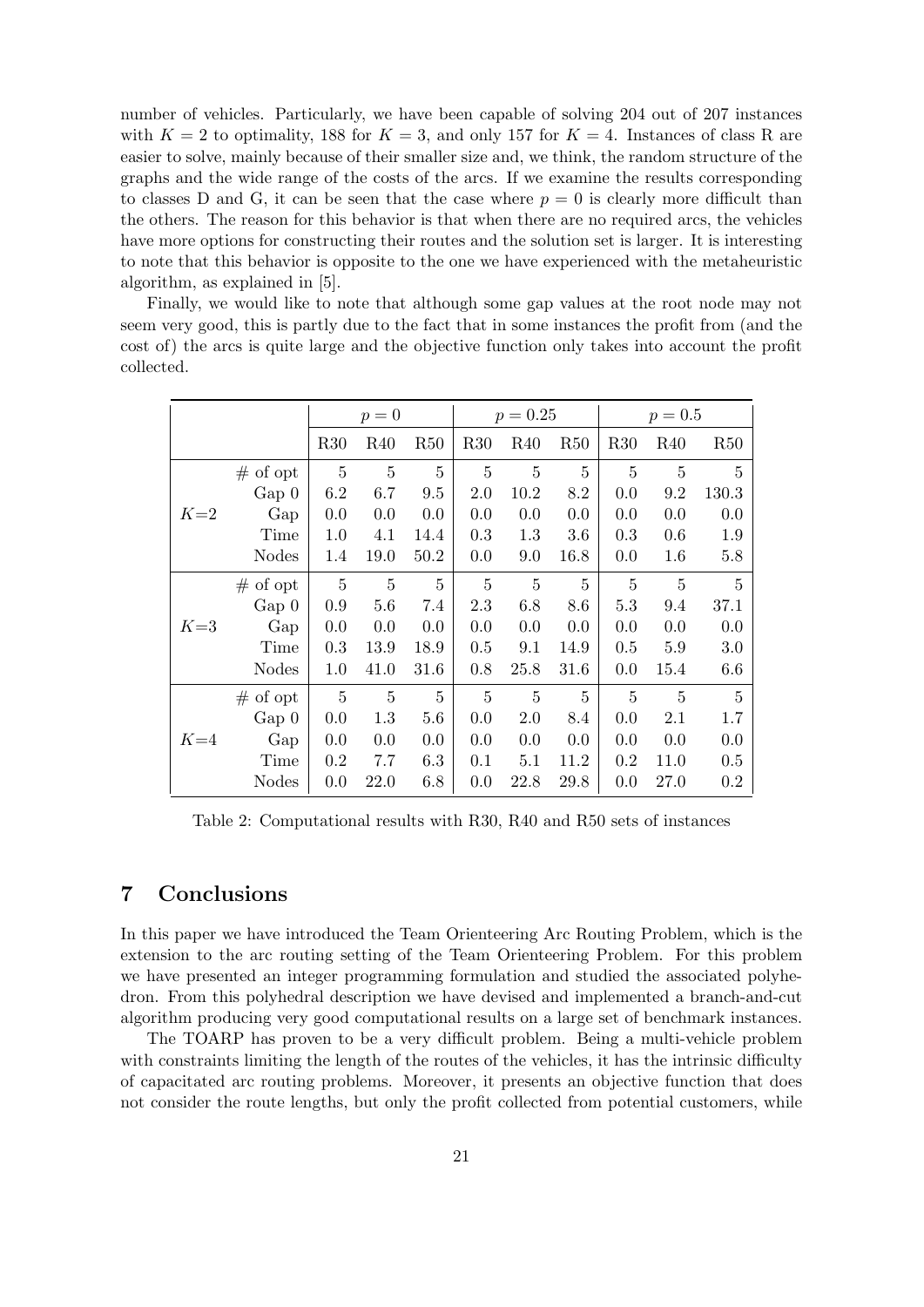number of vehicles. Particularly, we have been capable of solving 204 out of 207 instances with  $K = 2$  to optimality, 188 for  $K = 3$ , and only 157 for  $K = 4$ . Instances of class R are easier to solve, mainly because of their smaller size and, we think, the random structure of the graphs and the wide range of the costs of the arcs. If we examine the results corresponding to classes D and G, it can be seen that the case where  $p = 0$  is clearly more difficult than the others. The reason for this behavior is that when there are no required arcs, the vehicles have more options for constructing their routes and the solution set is larger. It is interesting to note that this behavior is opposite to the one we have experienced with the metaheuristic algorithm, as explained in [5].

Finally, we would like to note that although some gap values at the root node may not seem very good, this is partly due to the fact that in some instances the profit from (and the cost of) the arcs is quite large and the objective function only takes into account the profit collected.

|       |              |                | $p=0$           |      |                | $p = 0.25$     |                |                | $p = 0.5$       |                |  |
|-------|--------------|----------------|-----------------|------|----------------|----------------|----------------|----------------|-----------------|----------------|--|
|       |              | R30            | R <sub>40</sub> | R50  | R30            | R40            | R50            | R30            | R <sub>40</sub> | R50            |  |
|       | $#$ of opt   | $\overline{5}$ | $\bf 5$         | 5    | $\overline{5}$ | $\overline{5}$ | $\overline{5}$ | $\overline{5}$ | $\overline{5}$  | 5              |  |
|       | $Gap\ 0$     | 6.2            | 6.7             | 9.5  | 2.0            | 10.2           | 8.2            | 0.0            | 9.2             | 130.3          |  |
| $K=2$ | Gap          | 0.0            | 0.0             | 0.0  | 0.0            | 0.0            | 0.0            | 0.0            | 0.0             | 0.0            |  |
|       | Time         | 1.0            | 4.1             | 14.4 | 0.3            | 1.3            | 3.6            | 0.3            | 0.6             | 1.9            |  |
|       | <b>Nodes</b> | 1.4            | 19.0            | 50.2 | 0.0            | 9.0            | 16.8           | 0.0            | 1.6             | 5.8            |  |
|       | $#$ of opt   | $\overline{5}$ | 5               | 5    | 5              | 5              | 5              | 5              | 5               | $\overline{5}$ |  |
|       | $Gap\ 0$     | 0.9            | 5.6             | 7.4  | 2.3            | 6.8            | 8.6            | 5.3            | 9.4             | 37.1           |  |
| $K=3$ | Gap          | 0.0            | 0.0             | 0.0  | 0.0            | 0.0            | 0.0            | 0.0            | 0.0             | 0.0            |  |
|       | Time         | 0.3            | 13.9            | 18.9 | $0.5\,$        | 9.1            | 14.9           | 0.5            | 5.9             | 3.0            |  |
|       | <b>Nodes</b> | 1.0            | 41.0            | 31.6 | 0.8            | 25.8           | 31.6           | 0.0            | 15.4            | 6.6            |  |
|       | $#$ of opt   | $\overline{5}$ | $\overline{5}$  | 5    | 5              | 5              | $\overline{5}$ | 5              | 5               | $\overline{5}$ |  |
|       | Gap 0        | 0.0            | 1.3             | 5.6  | 0.0            | 2.0            | 8.4            | 0.0            | 2.1             | 1.7            |  |
| $K=4$ | Gap          | 0.0            | 0.0             | 0.0  | 0.0            | 0.0            | 0.0            | 0.0            | 0.0             | 0.0            |  |
|       | Time         | 0.2            | 7.7             | 6.3  | 0.1            | 5.1            | 11.2           | 0.2            | 11.0            | 0.5            |  |
|       | <b>Nodes</b> | 0.0            | 22.0            | 6.8  | 0.0            | 22.8           | 29.8           | 0.0            | 27.0            | $0.2\,$        |  |

Table 2: Computational results with R30, R40 and R50 sets of instances

# **7 Conclusions**

In this paper we have introduced the Team Orienteering Arc Routing Problem, which is the extension to the arc routing setting of the Team Orienteering Problem. For this problem we have presented an integer programming formulation and studied the associated polyhedron. From this polyhedral description we have devised and implemented a branch-and-cut algorithm producing very good computational results on a large set of benchmark instances.

The TOARP has proven to be a very difficult problem. Being a multi-vehicle problem with constraints limiting the length of the routes of the vehicles, it has the intrinsic difficulty of capacitated arc routing problems. Moreover, it presents an objective function that does not consider the route lengths, but only the profit collected from potential customers, while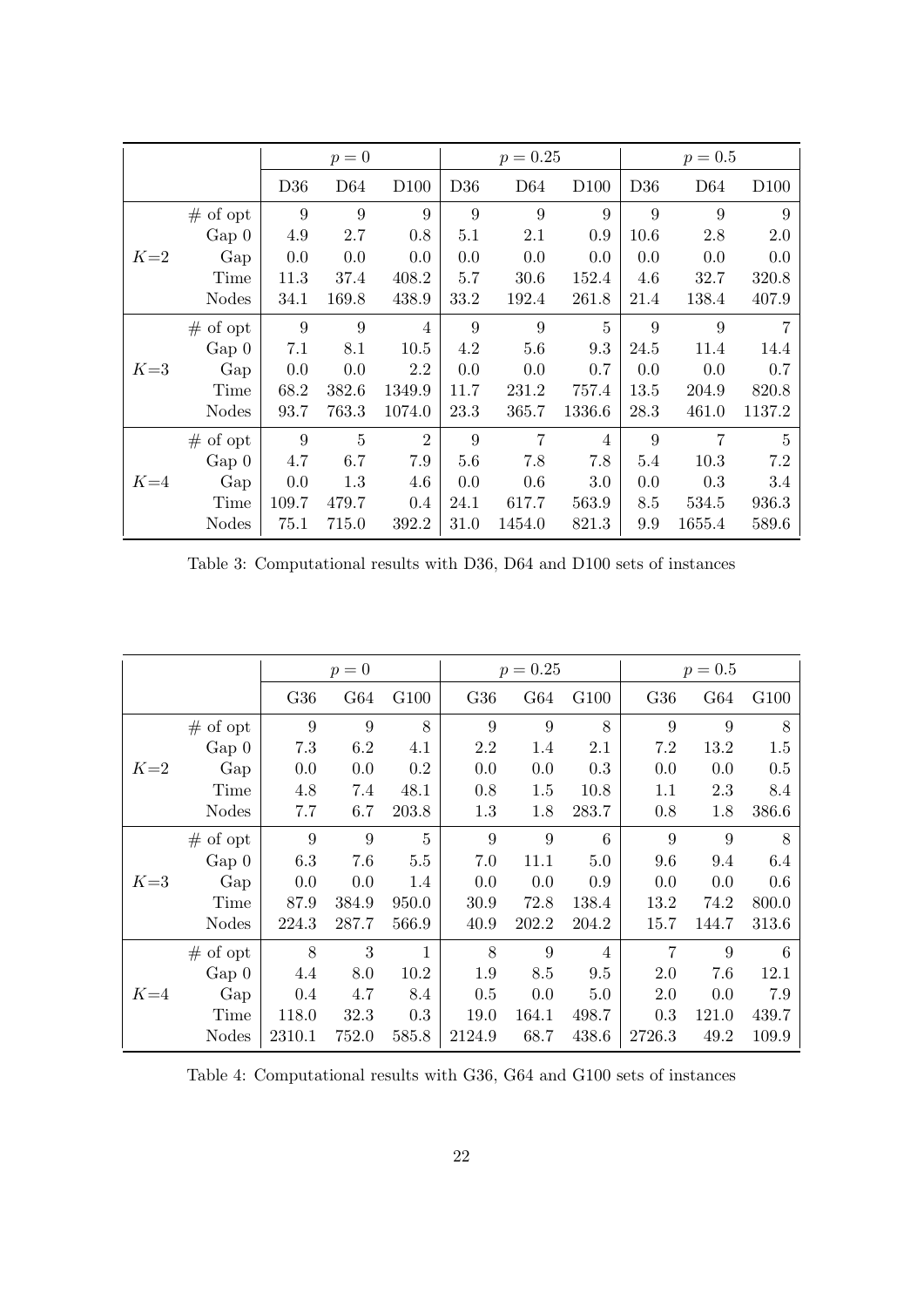|       |              |       | $p=0$           |                  |      | $p = 0.25$      |                  |      | $p = 0.5$       |                  |
|-------|--------------|-------|-----------------|------------------|------|-----------------|------------------|------|-----------------|------------------|
|       |              | D36   | D <sub>64</sub> | D <sub>100</sub> | D36  | D <sub>64</sub> | D <sub>100</sub> | D36  | D <sub>64</sub> | D <sub>100</sub> |
|       | $#$ of opt   | 9     | 9               | 9                | 9    | 9               | 9                | 9    | 9               | 9                |
|       | $Gap\ 0$     | 4.9   | 2.7             | 0.8              | 5.1  | 2.1             | 0.9              | 10.6 | 2.8             | 2.0              |
| $K=2$ | Gap          | 0.0   | 0.0             | 0.0              | 0.0  | 0.0             | 0.0              | 0.0  | 0.0             | 0.0              |
|       | Time         | 11.3  | 37.4            | 408.2            | 5.7  | 30.6            | 152.4            | 4.6  | 32.7            | 320.8            |
|       | <b>Nodes</b> | 34.1  | 169.8           | 438.9            | 33.2 | 192.4           | 261.8            | 21.4 | 138.4           | 407.9            |
|       | $#$ of opt   | 9     | 9               | 4                | 9    | 9               | 5                | 9    | 9               | 7                |
|       | $Gap\ 0$     | 7.1   | 8.1             | 10.5             | 4.2  | 5.6             | 9.3              | 24.5 | 11.4            | 14.4             |
| $K=3$ | Gap          | 0.0   | 0.0             | 2.2              | 0.0  | 0.0             | 0.7              | 0.0  | 0.0             | 0.7              |
|       | Time         | 68.2  | 382.6           | 1349.9           | 11.7 | 231.2           | 757.4            | 13.5 | 204.9           | 820.8            |
|       | <b>Nodes</b> | 93.7  | 763.3           | 1074.0           | 23.3 | 365.7           | 1336.6           | 28.3 | 461.0           | 1137.2           |
|       | $#$ of opt   | 9     | $\overline{5}$  | $\overline{2}$   | 9    | 7               | 4                | 9    | 7               | 5                |
|       | $Gap\ 0$     | 4.7   | 6.7             | 7.9              | 5.6  | 7.8             | 7.8              | 5.4  | 10.3            | 7.2              |
| $K=4$ | Gap          | 0.0   | 1.3             | 4.6              | 0.0  | 0.6             | 3.0              | 0.0  | 0.3             | 3.4              |
|       | Time         | 109.7 | 479.7           | 0.4              | 24.1 | 617.7           | 563.9            | 8.5  | 534.5           | 936.3            |
|       | <b>Nodes</b> | 75.1  | 715.0           | 392.2            | 31.0 | 1454.0          | 821.3            | 9.9  | 1655.4          | 589.6            |

Table 3: Computational results with D36, D64 and D100 sets of instances

|       |              |        | $p=0$ |       |        | $p = 0.25$ |       |        | $p = 0.5$ |       |
|-------|--------------|--------|-------|-------|--------|------------|-------|--------|-----------|-------|
|       |              | G36    | G64   | G100  | G36    | G64        | G100  | G36    | G64       | G100  |
|       | $#$ of opt   | 9      | 9     | 8     | 9      | 9          | 8     | 9      | 9         | 8     |
| $K=2$ | Gap 0        | 7.3    | 6.2   | 4.1   | 2.2    | 1.4        | 2.1   | 7.2    | 13.2      | 1.5   |
|       | Gap          | 0.0    | 0.0   | 0.2   | 0.0    | 0.0        | 0.3   | 0.0    | 0.0       | 0.5   |
|       | Time         | 4.8    | 7.4   | 48.1  | 0.8    | 1.5        | 10.8  | 1.1    | 2.3       | 8.4   |
|       | <b>Nodes</b> | 7.7    | 6.7   | 203.8 | 1.3    | 1.8        | 283.7 | 0.8    | 1.8       | 386.6 |
|       | $#$ of opt   | 9      | 9     | 5     | 9      | 9          | 6     | 9      | 9         | 8     |
|       | $Gap\ 0$     | 6.3    | 7.6   | 5.5   | 7.0    | 11.1       | 5.0   | 9.6    | 9.4       | 6.4   |
| $K=3$ | Gap          | 0.0    | 0.0   | 1.4   | 0.0    | 0.0        | 0.9   | 0.0    | 0.0       | 0.6   |
|       | Time         | 87.9   | 384.9 | 950.0 | 30.9   | 72.8       | 138.4 | 13.2   | 74.2      | 800.0 |
|       | <b>Nodes</b> | 224.3  | 287.7 | 566.9 | 40.9   | 202.2      | 204.2 | 15.7   | 144.7     | 313.6 |
|       | $#$ of opt   | 8      | 3     | 1     | 8      | 9          | 4     | 7      | 9         | 6     |
|       | $Gap\ 0$     | 4.4    | 8.0   | 10.2  | 1.9    | 8.5        | 9.5   | 2.0    | 7.6       | 12.1  |
| $K=4$ | Gap          | 0.4    | 4.7   | 8.4   | 0.5    | 0.0        | 5.0   | 2.0    | 0.0       | 7.9   |
|       | Time         | 118.0  | 32.3  | 0.3   | 19.0   | 164.1      | 498.7 | 0.3    | 121.0     | 439.7 |
|       | <b>Nodes</b> | 2310.1 | 752.0 | 585.8 | 2124.9 | 68.7       | 438.6 | 2726.3 | 49.2      | 109.9 |

Table 4: Computational results with G36, G64 and G100 sets of instances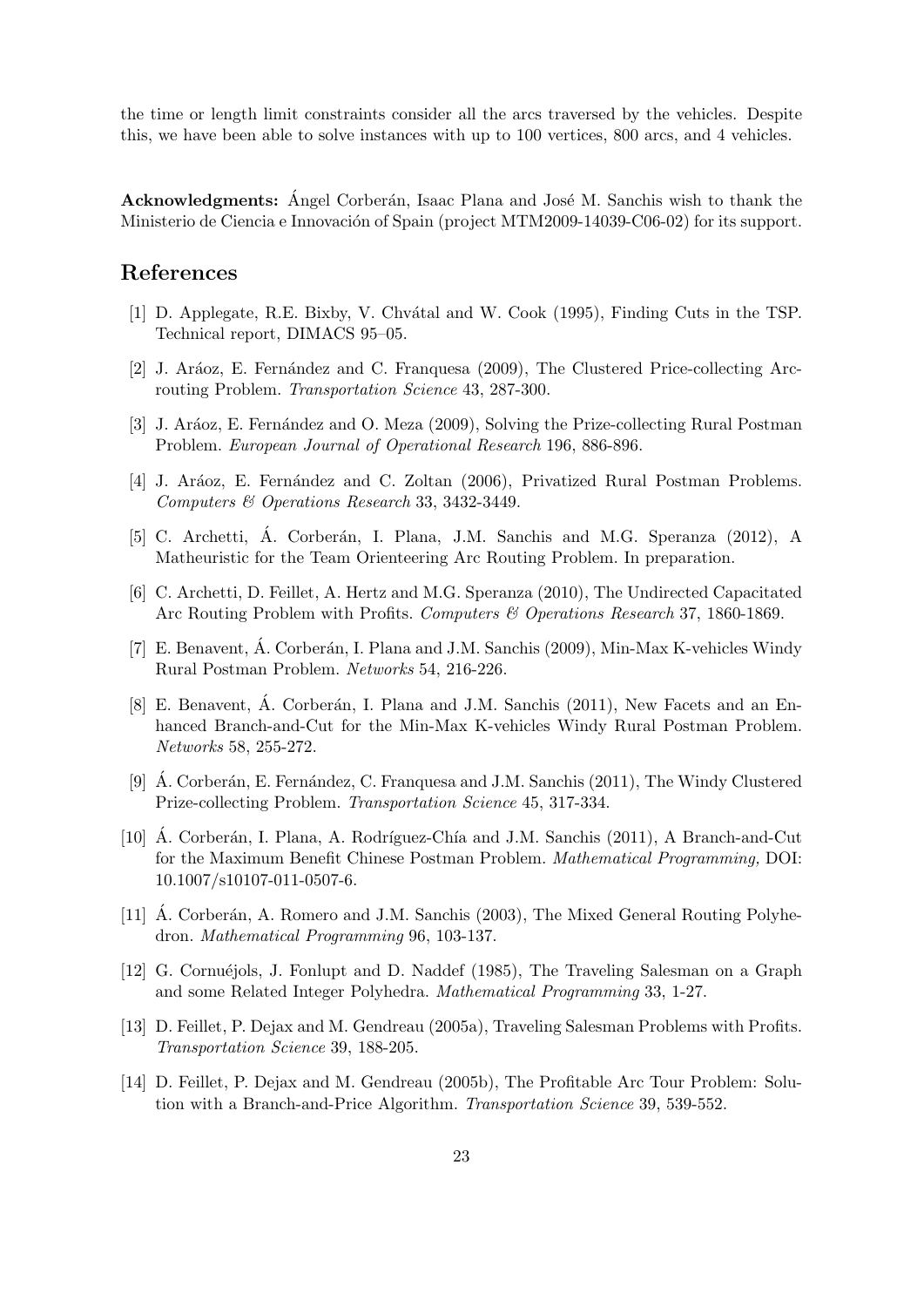the time or length limit constraints consider all the arcs traversed by the vehicles. Despite this, we have been able to solve instances with up to 100 vertices, 800 arcs, and 4 vehicles.

**Acknowledgments:** Angel Corberán, Isaac Plana and José M. Sanchis wish to thank the Ministerio de Ciencia e Innovación of Spain (project MTM2009-14039-C06-02) for its support.

# **References**

- [1] D. Applegate, R.E. Bixby, V. Chvátal and W. Cook (1995), Finding Cuts in the TSP. Technical report, DIMACS 95–05.
- [2] J. Aráoz, E. Fernández and C. Franquesa (2009), The Clustered Price-collecting Arcrouting Problem. *Transportation Science* 43, 287-300.
- [3] J. Aráoz, E. Fernández and O. Meza (2009), Solving the Prize-collecting Rural Postman Problem. *European Journal of Operational Research* 196, 886-896.
- [4] J. Aráoz, E. Fernández and C. Zoltan (2006), Privatized Rural Postman Problems. *Computers & Operations Research* 33, 3432-3449.
- [5] C. Archetti, A. Corberán, I. Plana, J.M. Sanchis and M.G. Speranza (2012), A Matheuristic for the Team Orienteering Arc Routing Problem. In preparation.
- [6] C. Archetti, D. Feillet, A. Hertz and M.G. Speranza (2010), The Undirected Capacitated Arc Routing Problem with Profits. *Computers & Operations Research* 37, 1860-1869.
- [7] E. Benavent, A. Corberán, I. Plana and J.M. Sanchis (2009), Min-Max K-vehicles Windy Rural Postman Problem. *Networks* 54, 216-226.
- [8] E. Benavent, Á. Corberán, I. Plana and J.M. Sanchis (2011), New Facets and an Enhanced Branch-and-Cut for the Min-Max K-vehicles Windy Rural Postman Problem. *Networks* 58, 255-272.
- [9]  $\acute{A}$ . Corberán, E. Fernández, C. Franquesa and J.M. Sanchis (2011), The Windy Clustered Prize-collecting Problem. *Transportation Science* 45, 317-334.
- [10] A. Corberán, I. Plana, A. Rodríguez-Chía and J.M. Sanchis  $(2011)$ , A Branch-and-Cut for the Maximum Benefit Chinese Postman Problem. *Mathematical Programming,* DOI: 10.1007/s10107-011-0507-6.
- [11] A. Corberán, A. Romero and J.M. Sanchis (2003), The Mixed General Routing Polyhedron. *Mathematical Programming* 96, 103-137.
- [12] G. Cornuéjols, J. Fonlupt and D. Naddef (1985), The Traveling Salesman on a Graph and some Related Integer Polyhedra. *Mathematical Programming* 33, 1-27.
- [13] D. Feillet, P. Dejax and M. Gendreau (2005a), Traveling Salesman Problems with Profits. *Transportation Science* 39, 188-205.
- [14] D. Feillet, P. Dejax and M. Gendreau (2005b), The Profitable Arc Tour Problem: Solution with a Branch-and-Price Algorithm. *Transportation Science* 39, 539-552.